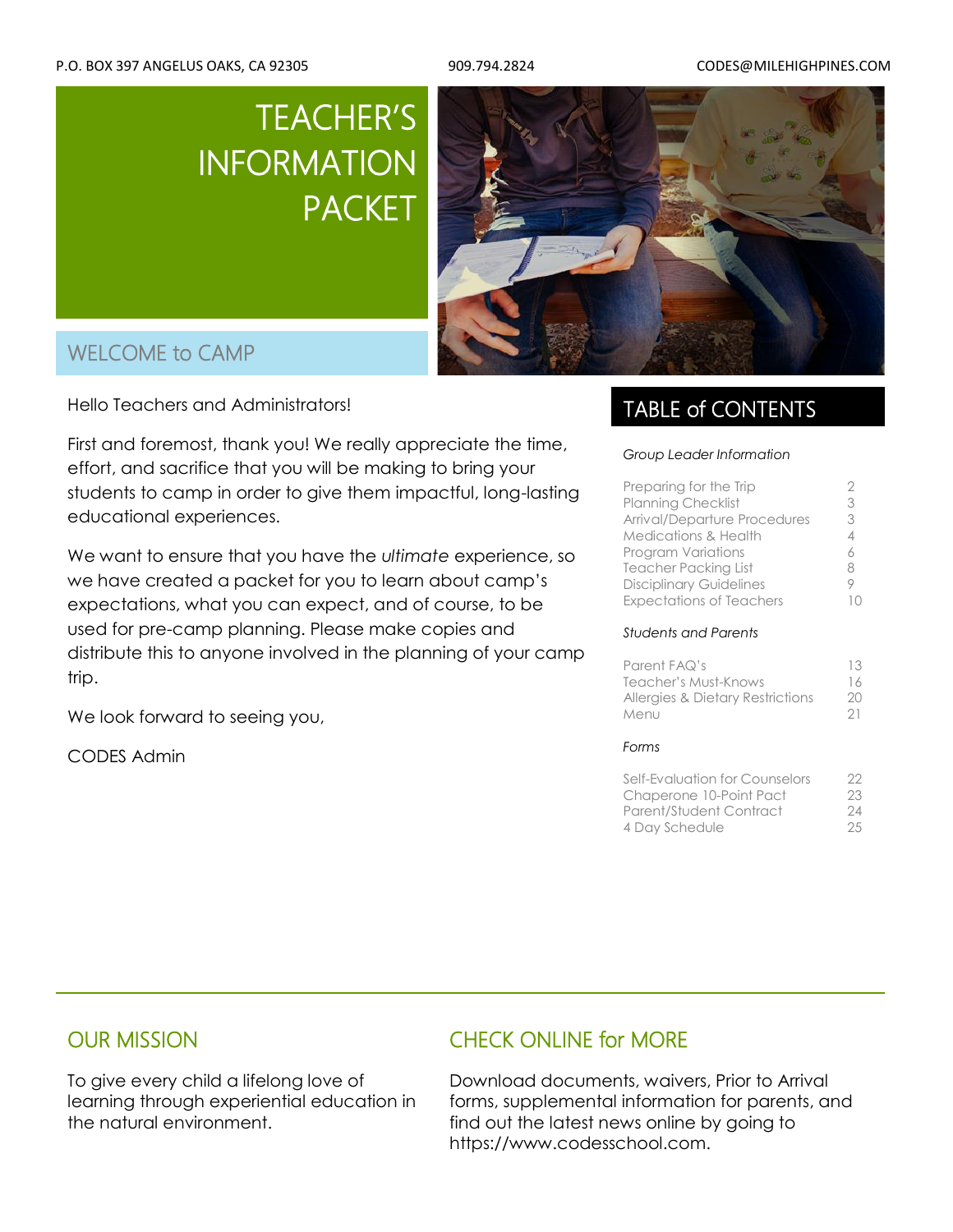# TEACHER'S INFORMATION PACKET



## WELCOME to CAMP

Hello Teachers and Administrators!

First and foremost, thank you! We really appreciate the time, effort, and sacrifice that you will be making to bring your students to camp in order to give them impactful, long-lasting educational experiences.

We want to ensure that you have the *ultimate* experience, so we have created a packet for you to learn about camp's expectations, what you can expect, and of course, to be used for pre-camp planning. Please make copies and distribute this to anyone involved in the planning of your camp trip.

We look forward to seeing you,

CODES Admin

### TABLE of CONTENTS

#### *Group Leader Information*

| <b>Planning Checklist</b><br>3<br>Arrival/Departure Procedures<br>3<br><b>Medications &amp; Health</b><br>4<br><b>Program Variations</b><br><b>Teacher Packing List</b><br>8<br><b>Disciplinary Guidelines</b><br><b>Expectations of Teachers</b> | Preparing for the Trip |  |
|---------------------------------------------------------------------------------------------------------------------------------------------------------------------------------------------------------------------------------------------------|------------------------|--|
|                                                                                                                                                                                                                                                   |                        |  |
|                                                                                                                                                                                                                                                   |                        |  |
|                                                                                                                                                                                                                                                   |                        |  |
|                                                                                                                                                                                                                                                   |                        |  |
|                                                                                                                                                                                                                                                   |                        |  |
|                                                                                                                                                                                                                                                   |                        |  |
|                                                                                                                                                                                                                                                   |                        |  |

#### *Students and Parents*

| Parent FAQ's                                | 13 |
|---------------------------------------------|----|
| Teacher's Must-Knows                        | 16 |
| <b>Allergies &amp; Dietary Restrictions</b> | 20 |
| Menu                                        | 21 |
| Forms                                       |    |

| Self-Evaluation for Counselors | 22 |
|--------------------------------|----|
| Chaperone 10-Point Pact        | 23 |
| Parent/Student Contract        | 24 |
| 4 Day Schedule                 | 25 |

### OUR MISSION

To give every child a lifelong love of learning through experiential education in the natural environment.

### CHECK ONLINE for MORE

1 https://www.codesschool.com. Download documents, waivers, Prior to Arrival forms, supplemental information for parents, and find out the latest news online by going to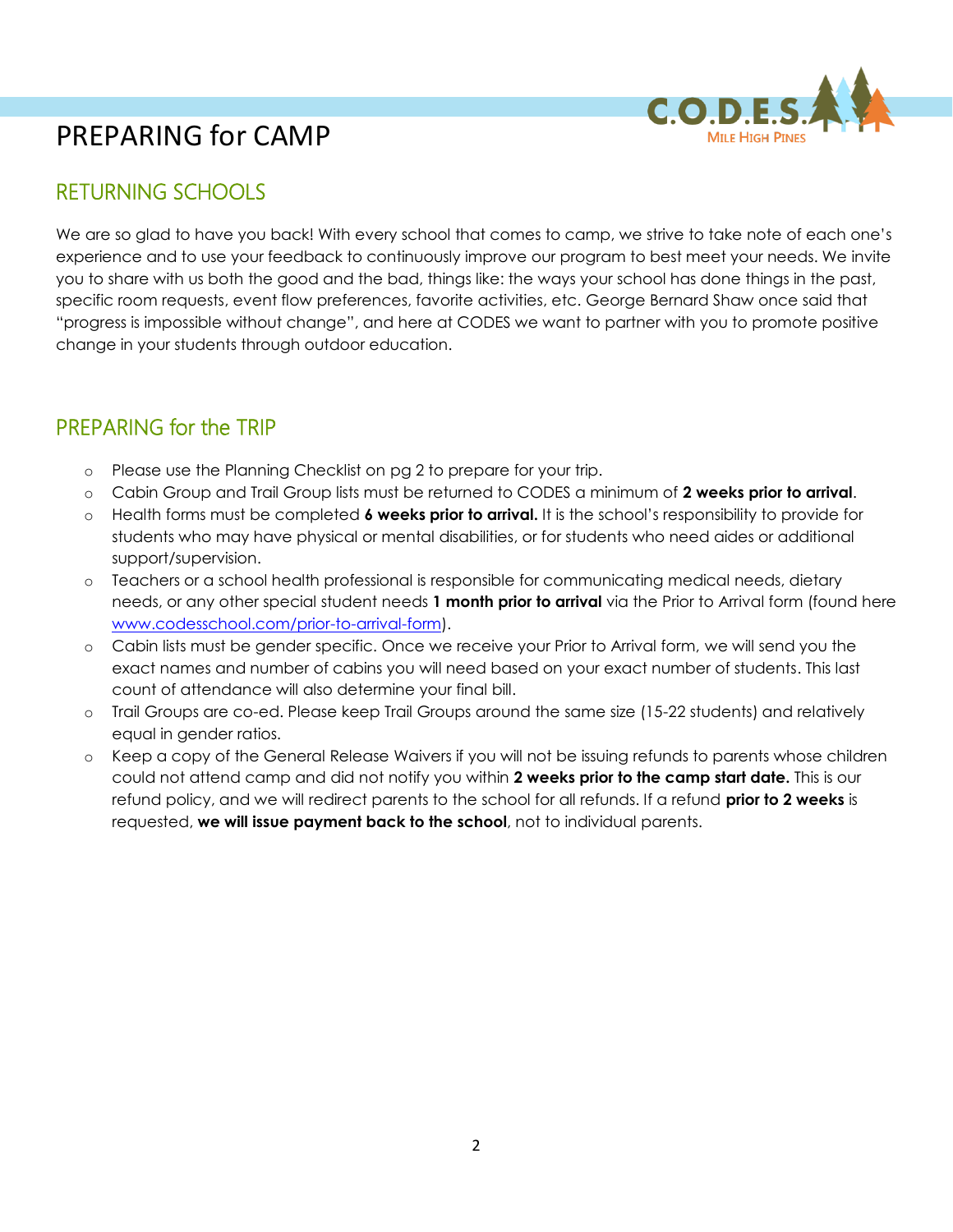

## PREPARING for CAMP

## RETURNING SCHOOLS

We are so glad to have you back! With every school that comes to camp, we strive to take note of each one's experience and to use your feedback to continuously improve our program to best meet your needs. We invite you to share with us both the good and the bad, things like: the ways your school has done things in the past, specific room requests, event flow preferences, favorite activities, etc. George Bernard Shaw once said that "progress is impossible without change", and here at CODES we want to partner with you to promote positive change in your students through outdoor education.

### PREPARING for the TRIP

- o Please use the Planning Checklist on pg 2 to prepare for your trip.
- o Cabin Group and Trail Group lists must be returned to CODES a minimum of **2 weeks prior to arrival**.
- o Health forms must be completed **6 weeks prior to arrival.** It is the school's responsibility to provide for students who may have physical or mental disabilities, or for students who need aides or additional support/supervision.
- o Teachers or a school health professional is responsible for communicating medical needs, dietary needs, or any other special student needs **1 month prior to arrival** via the Prior to Arrival form (found here [www.codesschool.com/prior-to-arrival-form\)](http://www.codesschool.com/prior-to-arrival-form).
- o Cabin lists must be gender specific. Once we receive your Prior to Arrival form, we will send you the exact names and number of cabins you will need based on your exact number of students. This last count of attendance will also determine your final bill.
- o Trail Groups are co-ed. Please keep Trail Groups around the same size (15-22 students) and relatively equal in gender ratios.
- o Keep a copy of the General Release Waivers if you will not be issuing refunds to parents whose children could not attend camp and did not notify you within **2 weeks prior to the camp start date.** This is our refund policy, and we will redirect parents to the school for all refunds. If a refund **prior to 2 weeks** is requested, **we will issue payment back to the school**, not to individual parents.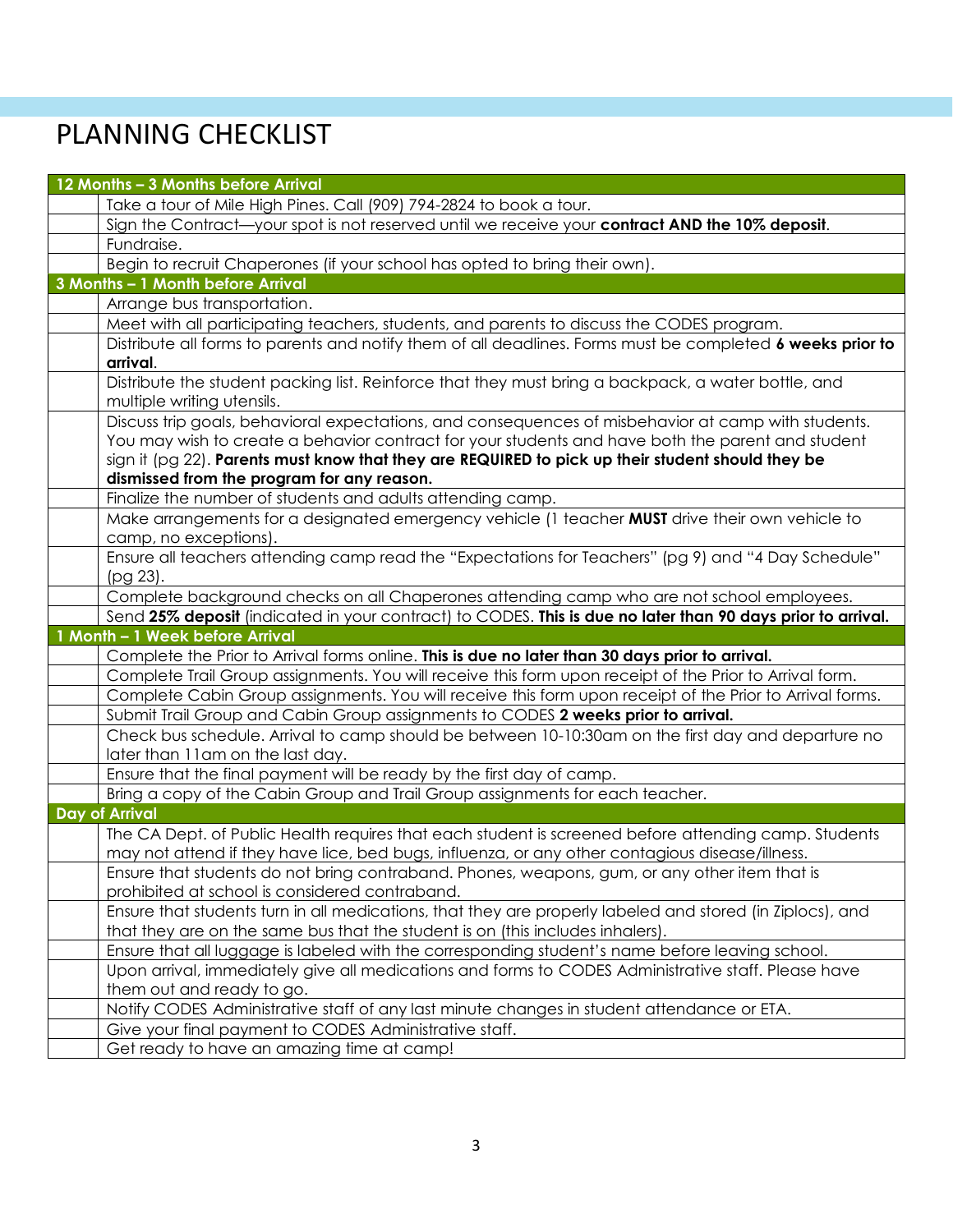# PLANNING CHECKLIST

| 12 Months - 3 Months before Arrival                                                                                               |
|-----------------------------------------------------------------------------------------------------------------------------------|
| Take a tour of Mile High Pines. Call (909) 794-2824 to book a tour.                                                               |
| Sign the Contract—your spot is not reserved until we receive your contract AND the 10% deposit.                                   |
| Fundraise.                                                                                                                        |
| Begin to recruit Chaperones (if your school has opted to bring their own).                                                        |
| 3 Months - 1 Month before Arrival                                                                                                 |
| Arrange bus transportation.                                                                                                       |
| Meet with all participating teachers, students, and parents to discuss the CODES program.                                         |
| Distribute all forms to parents and notify them of all deadlines. Forms must be completed 6 weeks prior to                        |
| arrival.                                                                                                                          |
| Distribute the student packing list. Reinforce that they must bring a backpack, a water bottle, and<br>multiple writing utensils. |
| Discuss trip goals, behavioral expectations, and consequences of misbehavior at camp with students.                               |
| You may wish to create a behavior contract for your students and have both the parent and student                                 |
| sign it ( $pg 22$ ). Parents must know that they are REQUIRED to pick up their student should they be                             |
| dismissed from the program for any reason.                                                                                        |
| Finalize the number of students and adults attending camp.                                                                        |
| Make arrangements for a designated emergency vehicle (1 teacher MUST drive their own vehicle to                                   |
| camp, no exceptions).                                                                                                             |
| Ensure all teachers attending camp read the "Expectations for Teachers" (pg 9) and "4 Day Schedule"                               |
| (pg 23).                                                                                                                          |
| Complete background checks on all Chaperones attending camp who are not school employees.                                         |
| Send 25% deposit (indicated in your contract) to CODES. This is due no later than 90 days prior to arrival.                       |
| 1 Month - 1 Week before Arrival                                                                                                   |
| Complete the Prior to Arrival forms online. This is due no later than 30 days prior to arrival.                                   |
| Complete Trail Group assignments. You will receive this form upon receipt of the Prior to Arrival form.                           |
| Complete Cabin Group assignments. You will receive this form upon receipt of the Prior to Arrival forms.                          |
| Submit Trail Group and Cabin Group assignments to CODES 2 weeks prior to arrival.                                                 |
| Check bus schedule. Arrival to camp should be between 10-10:30am on the first day and departure no                                |
| later than 11am on the last day.<br>Ensure that the final payment will be ready by the first day of camp.                         |
| Bring a copy of the Cabin Group and Trail Group assignments for each teacher.                                                     |
| Day of Arrival                                                                                                                    |
| The CA Dept. of Public Health requires that each student is screened before attending camp. Students                              |
| may not attend if they have lice, bed bugs, influenza, or any other contagious disease/illness.                                   |
| Ensure that students do not bring contraband. Phones, weapons, gum, or any other item that is                                     |
| prohibited at school is considered contraband.                                                                                    |
| Ensure that students turn in all medications, that they are properly labeled and stored (in Ziplocs), and                         |
| that they are on the same bus that the student is on (this includes inhalers).                                                    |
| Ensure that all luggage is labeled with the corresponding student's name before leaving school.                                   |
| Upon arrival, immediately give all medications and forms to CODES Administrative staff. Please have                               |
| them out and ready to go.                                                                                                         |
| Notify CODES Administrative staff of any last minute changes in student attendance or ETA.                                        |
| Give your final payment to CODES Administrative staff.                                                                            |
| Get ready to have an amazing time at camp!                                                                                        |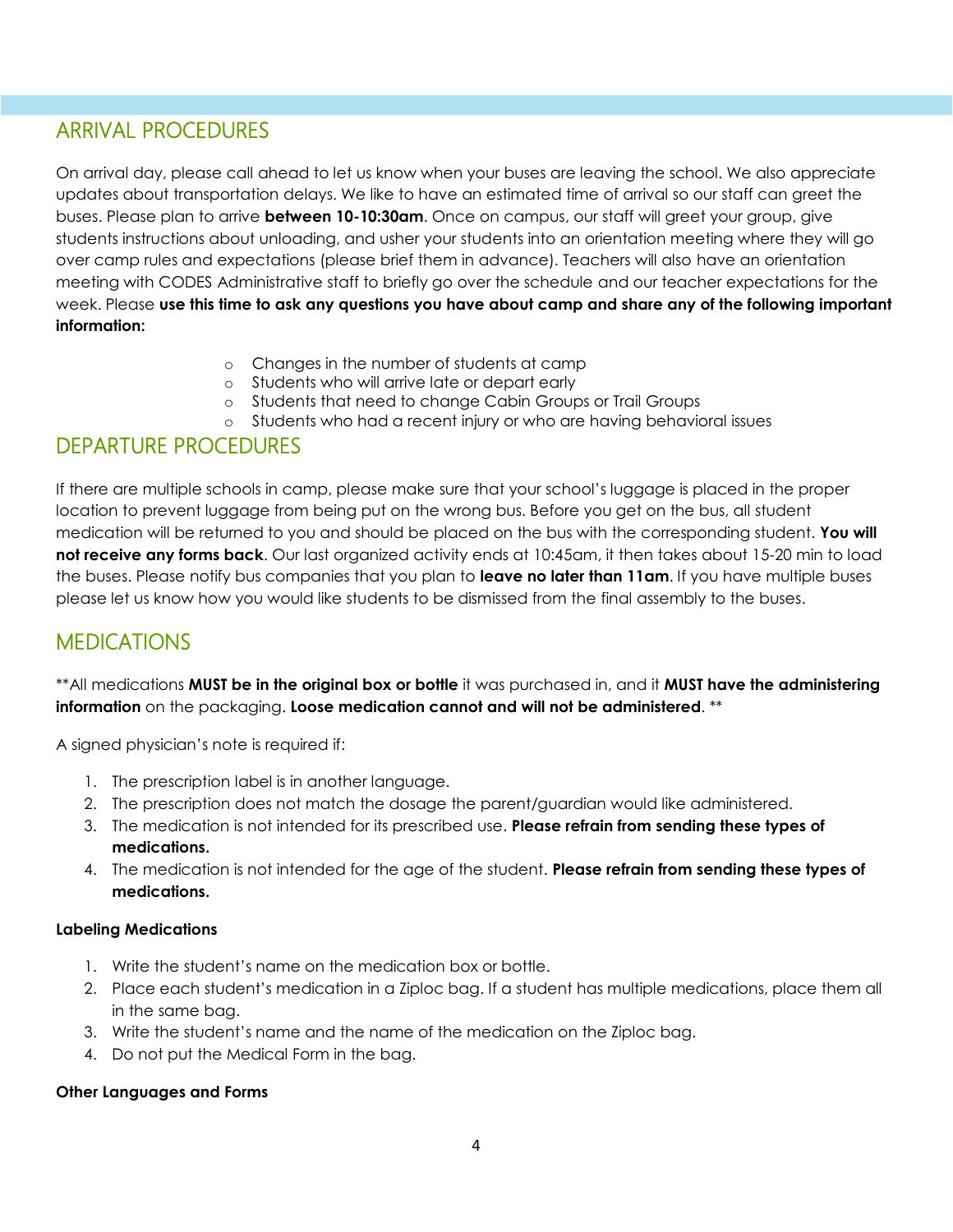## ARRIVAL PROCEDURES

On arrival day, please call ahead to let us know when your buses are leaving the school. We also appreciate updates about transportation delays. We like to have an estimated time of arrival so our staff can greet the buses. Please plan to arrive **between 10-10:30am**. Once on campus, our staff will greet your group, give students instructions about unloading, and usher your students into an orientation meeting where they will go over camp rules and expectations (please brief them in advance). Teachers will also have an orientation meeting with CODES Administrative staff to briefly go over the schedule and our teacher expectations for the week. Please **use this time to ask any questions you have about camp and share any of the following important information:**

- o Changes in the number of students at camp
- o Students who will arrive late or depart early
- o Students that need to change Cabin Groups or Trail Groups
- o Students who had a recent injury or who are having behavioral issues

### DEPARTURE PROCEDURES

If there are multiple schools in camp, please make sure that your school's luggage is placed in the proper location to prevent luggage from being put on the wrong bus. Before you get on the bus, all student medication will be returned to you and should be placed on the bus with the corresponding student. **You will not receive any forms back**. Our last organized activity ends at 10:45am, it then takes about 15-20 min to load the buses. Please notify bus companies that you plan to **leave no later than 11am**. If you have multiple buses please let us know how you would like students to be dismissed from the final assembly to the buses.

### **MEDICATIONS**

\*\*All medications **MUST be in the original box or bottle** it was purchased in, and it **MUST have the administering information** on the packaging. **Loose medication cannot and will not be administered**. \*\*

A signed physician's note is required if:

- 1. The prescription label is in another language.
- 2. The prescription does not match the dosage the parent/guardian would like administered.
- 3. The medication is not intended for its prescribed use. **Please refrain from sending these types of medications.**
- 4. The medication is not intended for the age of the student. **Please refrain from sending these types of medications.**

#### **Labeling Medications**

- 1. Write the student's name on the medication box or bottle.
- 2. Place each student's medication in a Ziploc bag. If a student has multiple medications, place them all in the same bag.
- 3. Write the student's name and the name of the medication on the Ziploc bag.
- 4. Do not put the Medical Form in the bag.

#### **Other Languages and Forms**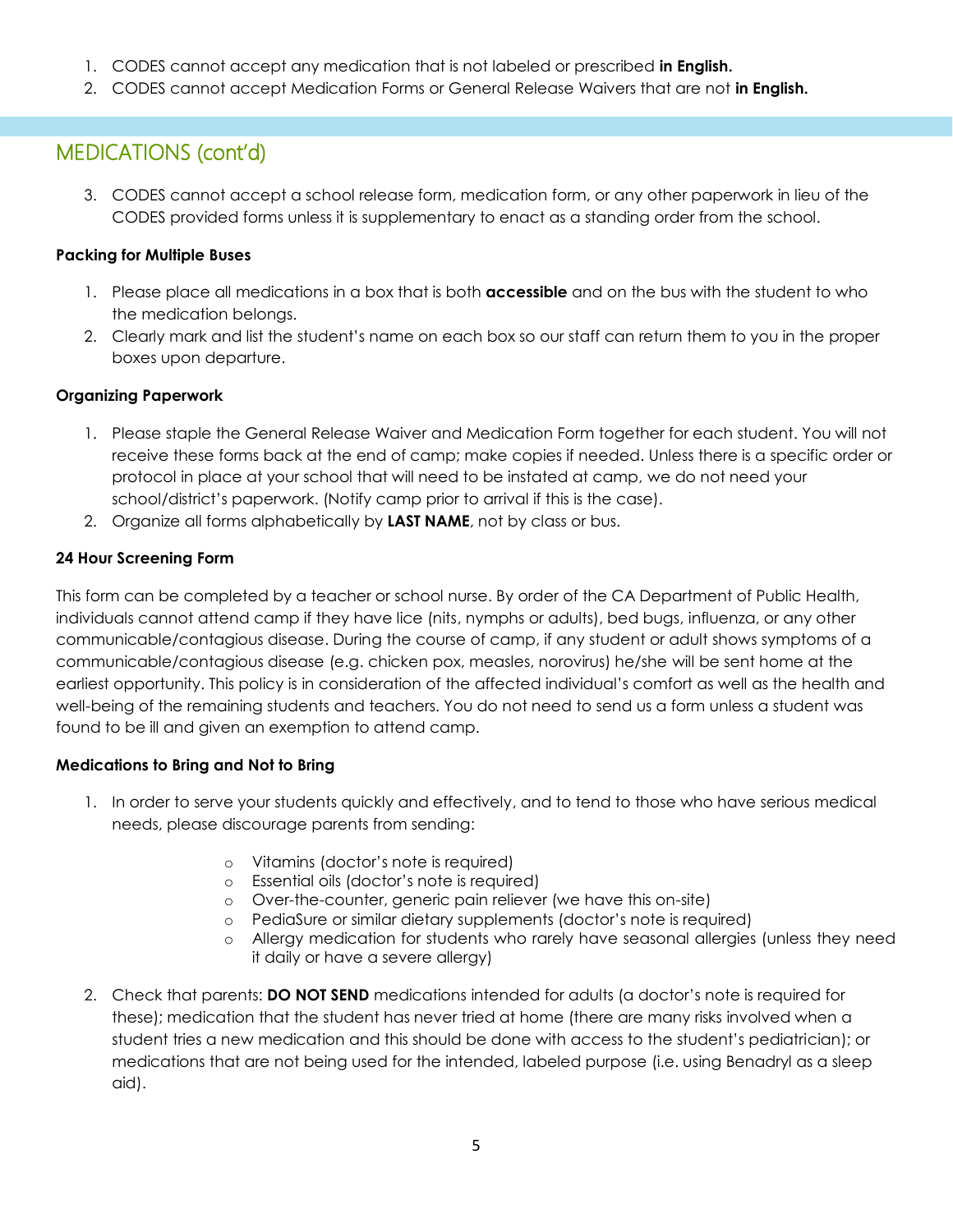- 1. CODES cannot accept any medication that is not labeled or prescribed **in English.**
- 2. CODES cannot accept Medication Forms or General Release Waivers that are not **in English.**

## MEDICATIONS (cont'd)

3. CODES cannot accept a school release form, medication form, or any other paperwork in lieu of the CODES provided forms unless it is supplementary to enact as a standing order from the school.

#### **Packing for Multiple Buses**

- 1. Please place all medications in a box that is both **accessible** and on the bus with the student to who the medication belongs.
- 2. Clearly mark and list the student's name on each box so our staff can return them to you in the proper boxes upon departure.

#### **Organizing Paperwork**

- 1. Please staple the General Release Waiver and Medication Form together for each student. You will not receive these forms back at the end of camp; make copies if needed. Unless there is a specific order or protocol in place at your school that will need to be instated at camp, we do not need your school/district's paperwork. (Notify camp prior to arrival if this is the case).
- 2. Organize all forms alphabetically by **LAST NAME**, not by class or bus.

#### **24 Hour Screening Form**

This form can be completed by a teacher or school nurse. By order of the CA Department of Public Health, individuals cannot attend camp if they have lice (nits, nymphs or adults), bed bugs, influenza, or any other communicable/contagious disease. During the course of camp, if any student or adult shows symptoms of a communicable/contagious disease (e.g. chicken pox, measles, norovirus) he/she will be sent home at the earliest opportunity. This policy is in consideration of the affected individual's comfort as well as the health and well-being of the remaining students and teachers. You do not need to send us a form unless a student was found to be ill and given an exemption to attend camp.

#### **Medications to Bring and Not to Bring**

- 1. In order to serve your students quickly and effectively, and to tend to those who have serious medical needs, please discourage parents from sending:
	- o Vitamins (doctor's note is required)
	- o Essential oils (doctor's note is required)
	- o Over-the-counter, generic pain reliever (we have this on-site)
	- o PediaSure or similar dietary supplements (doctor's note is required)
	- o Allergy medication for students who rarely have seasonal allergies (unless they need it daily or have a severe allergy)
- 2. Check that parents: **DO NOT SEND** medications intended for adults (a doctor's note is required for these); medication that the student has never tried at home (there are many risks involved when a student tries a new medication and this should be done with access to the student's pediatrician); or medications that are not being used for the intended, labeled purpose (i.e. using Benadryl as a sleep aid).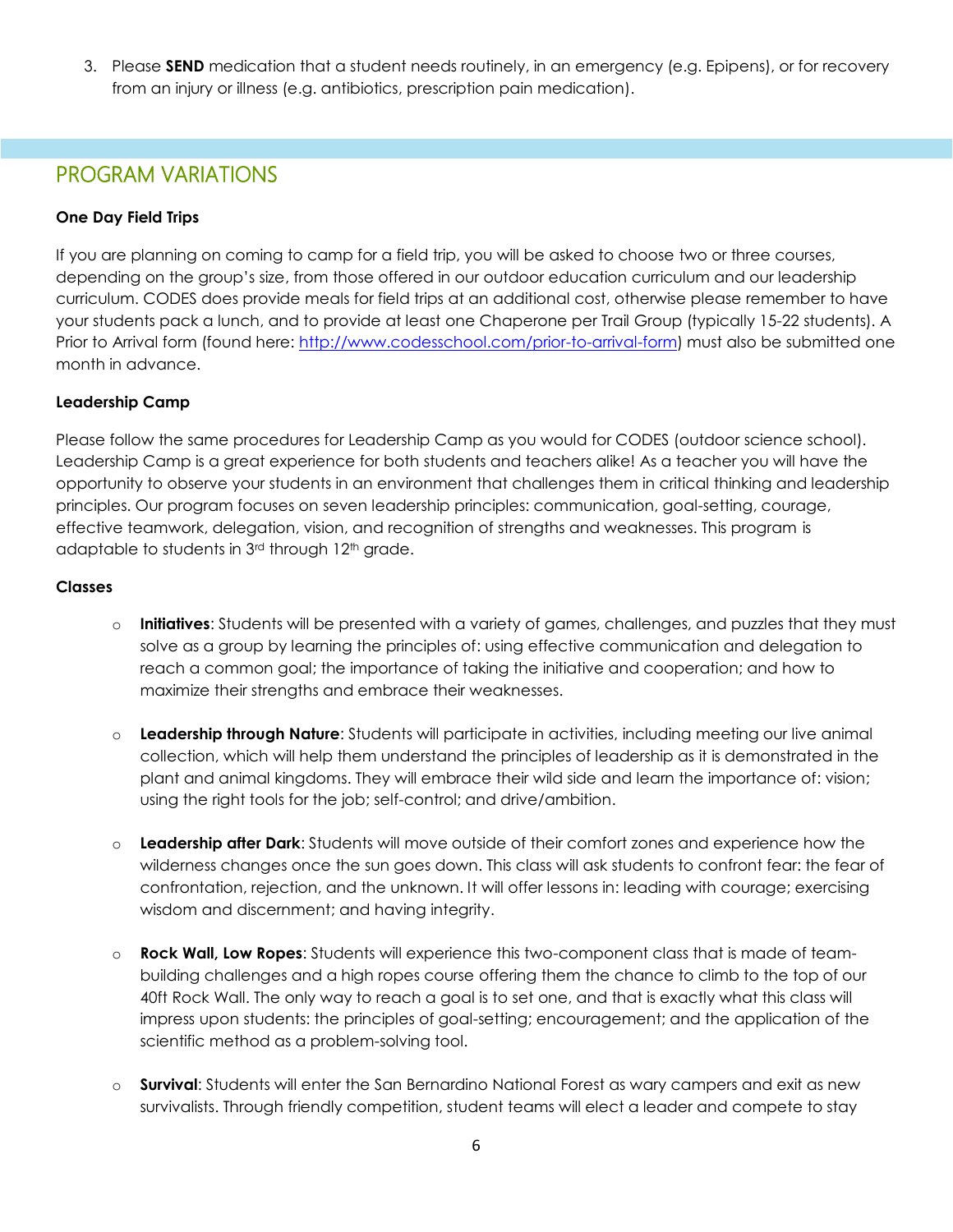3. Please **SEND** medication that a student needs routinely, in an emergency (e.g. Epipens), or for recovery from an injury or illness (e.g. antibiotics, prescription pain medication).

### PROGRAM VARIATIONS

#### **One Day Field Trips**

If you are planning on coming to camp for a field trip, you will be asked to choose two or three courses, depending on the group's size, from those offered in our outdoor education curriculum and our leadership curriculum. CODES does provide meals for field trips at an additional cost, otherwise please remember to have your students pack a lunch, and to provide at least one Chaperone per Trail Group (typically 15-22 students). A Prior to Arrival form (found here: [http://www.codesschool.com/prior-to-arrival-form\)](http://www.codesschool.com/prior-to-arrival-form) must also be submitted one month in advance.

#### **Leadership Camp**

Please follow the same procedures for Leadership Camp as you would for CODES (outdoor science school). Leadership Camp is a great experience for both students and teachers alike! As a teacher you will have the opportunity to observe your students in an environment that challenges them in critical thinking and leadership principles. Our program focuses on seven leadership principles: communication, goal-setting, courage, effective teamwork, delegation, vision, and recognition of strengths and weaknesses. This program is adaptable to students in 3<sup>rd</sup> through 12<sup>th</sup> grade.

#### **Classes**

- o **Initiatives**: Students will be presented with a variety of games, challenges, and puzzles that they must solve as a group by learning the principles of: using effective communication and delegation to reach a common goal; the importance of taking the initiative and cooperation; and how to maximize their strengths and embrace their weaknesses.
- o **Leadership through Nature**: Students will participate in activities, including meeting our live animal collection, which will help them understand the principles of leadership as it is demonstrated in the plant and animal kingdoms. They will embrace their wild side and learn the importance of: vision; using the right tools for the job; self-control; and drive/ambition.
- o **Leadership after Dark**: Students will move outside of their comfort zones and experience how the wilderness changes once the sun goes down. This class will ask students to confront fear: the fear of confrontation, rejection, and the unknown. It will offer lessons in: leading with courage; exercising wisdom and discernment; and having integrity.
- o **Rock Wall, Low Ropes**: Students will experience this two-component class that is made of teambuilding challenges and a high ropes course offering them the chance to climb to the top of our 40ft Rock Wall. The only way to reach a goal is to set one, and that is exactly what this class will impress upon students: the principles of goal-setting; encouragement; and the application of the scientific method as a problem-solving tool.
- o **Survival**: Students will enter the San Bernardino National Forest as wary campers and exit as new survivalists. Through friendly competition, student teams will elect a leader and compete to stay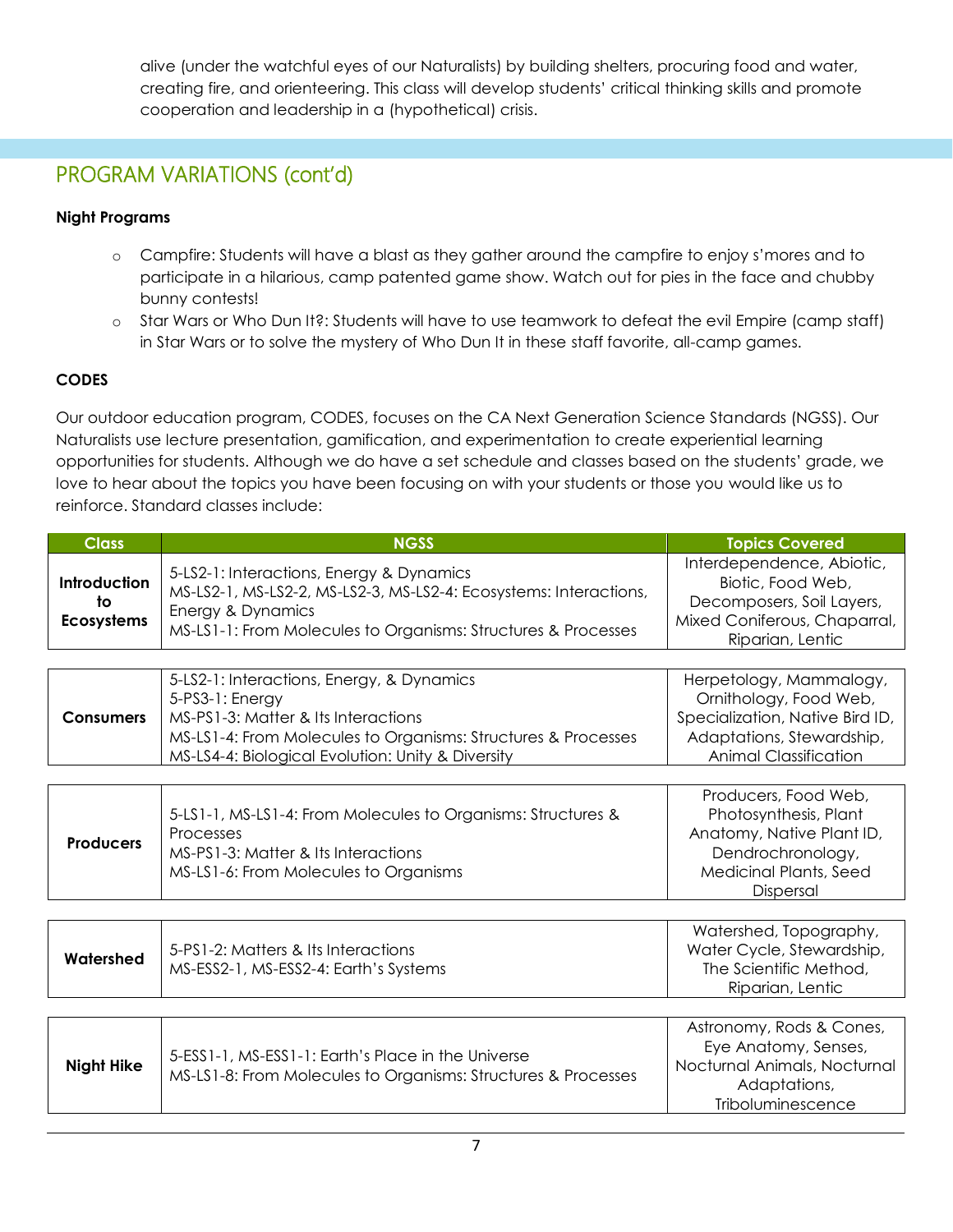alive (under the watchful eyes of our Naturalists) by building shelters, procuring food and water, creating fire, and orienteering. This class will develop students' critical thinking skills and promote cooperation and leadership in a (hypothetical) crisis.

## PROGRAM VARIATIONS (cont'd)

#### **Night Programs**

- o Campfire: Students will have a blast as they gather around the campfire to enjoy s'mores and to participate in a hilarious, camp patented game show. Watch out for pies in the face and chubby bunny contests!
- o Star Wars or Who Dun It?: Students will have to use teamwork to defeat the evil Empire (camp staff) in Star Wars or to solve the mystery of Who Dun It in these staff favorite, all-camp games.

#### **CODES**

Our outdoor education program, CODES, focuses on the CA Next Generation Science Standards (NGSS). Our Naturalists use lecture presentation, gamification, and experimentation to create experiential learning opportunities for students. Although we do have a set schedule and classes based on the students' grade, we love to hear about the topics you have been focusing on with your students or those you would like us to reinforce. Standard classes include:

| <b>Class</b>                            | <b>NGSS</b>                                                                                                                                                                                                               | <b>Topics Covered</b>                                                                                                                             |
|-----------------------------------------|---------------------------------------------------------------------------------------------------------------------------------------------------------------------------------------------------------------------------|---------------------------------------------------------------------------------------------------------------------------------------------------|
| Introduction<br>to<br><b>Ecosystems</b> | 5-LS2-1: Interactions, Energy & Dynamics<br>MS-LS2-1, MS-LS2-2, MS-LS2-3, MS-LS2-4: Ecosystems: Interactions,<br>Energy & Dynamics<br>MS-LS1-1: From Molecules to Organisms: Structures & Processes                       | Interdependence, Abiotic,<br>Biotic, Food Web,<br>Decomposers, Soil Layers,<br>Mixed Coniferous, Chaparral,<br>Riparian, Lentic                   |
|                                         |                                                                                                                                                                                                                           |                                                                                                                                                   |
| <b>Consumers</b>                        | 5-LS2-1: Interactions, Energy, & Dynamics<br>5-PS3-1: Energy<br>MS-PS1-3: Matter & Its Interactions<br>MS-LS1-4: From Molecules to Organisms: Structures & Processes<br>MS-LS4-4: Biological Evolution: Unity & Diversity | Herpetology, Mammalogy,<br>Ornithology, Food Web,<br>Specialization, Native Bird ID,<br>Adaptations, Stewardship,<br><b>Animal Classification</b> |
|                                         |                                                                                                                                                                                                                           |                                                                                                                                                   |
| <b>Producers</b>                        | 5-LS1-1, MS-LS1-4: From Molecules to Organisms: Structures &<br>Processes<br>MS-PS1-3: Matter & Its Interactions<br>MS-LS1-6: From Molecules to Organisms                                                                 | Producers, Food Web,<br>Photosynthesis, Plant<br>Anatomy, Native Plant ID,<br>Dendrochronology,<br><b>Medicinal Plants, Seed</b><br>Dispersal     |
|                                         |                                                                                                                                                                                                                           |                                                                                                                                                   |
| Watershed                               | 5-PS1-2: Matters & Its Interactions<br>MS-ESS2-1, MS-ESS2-4: Earth's Systems                                                                                                                                              | Watershed, Topography,<br>Water Cycle, Stewardship,<br>The Scientific Method,<br>Riparian, Lentic                                                 |
|                                         |                                                                                                                                                                                                                           |                                                                                                                                                   |
| <b>Night Hike</b>                       | 5-ESS1-1, MS-ESS1-1: Earth's Place in the Universe<br>MS-LS1-8: From Molecules to Organisms: Structures & Processes                                                                                                       | Astronomy, Rods & Cones,<br>Eye Anatomy, Senses,<br>Nocturnal Animals, Nocturnal<br>Adaptations,<br>Triboluminescence                             |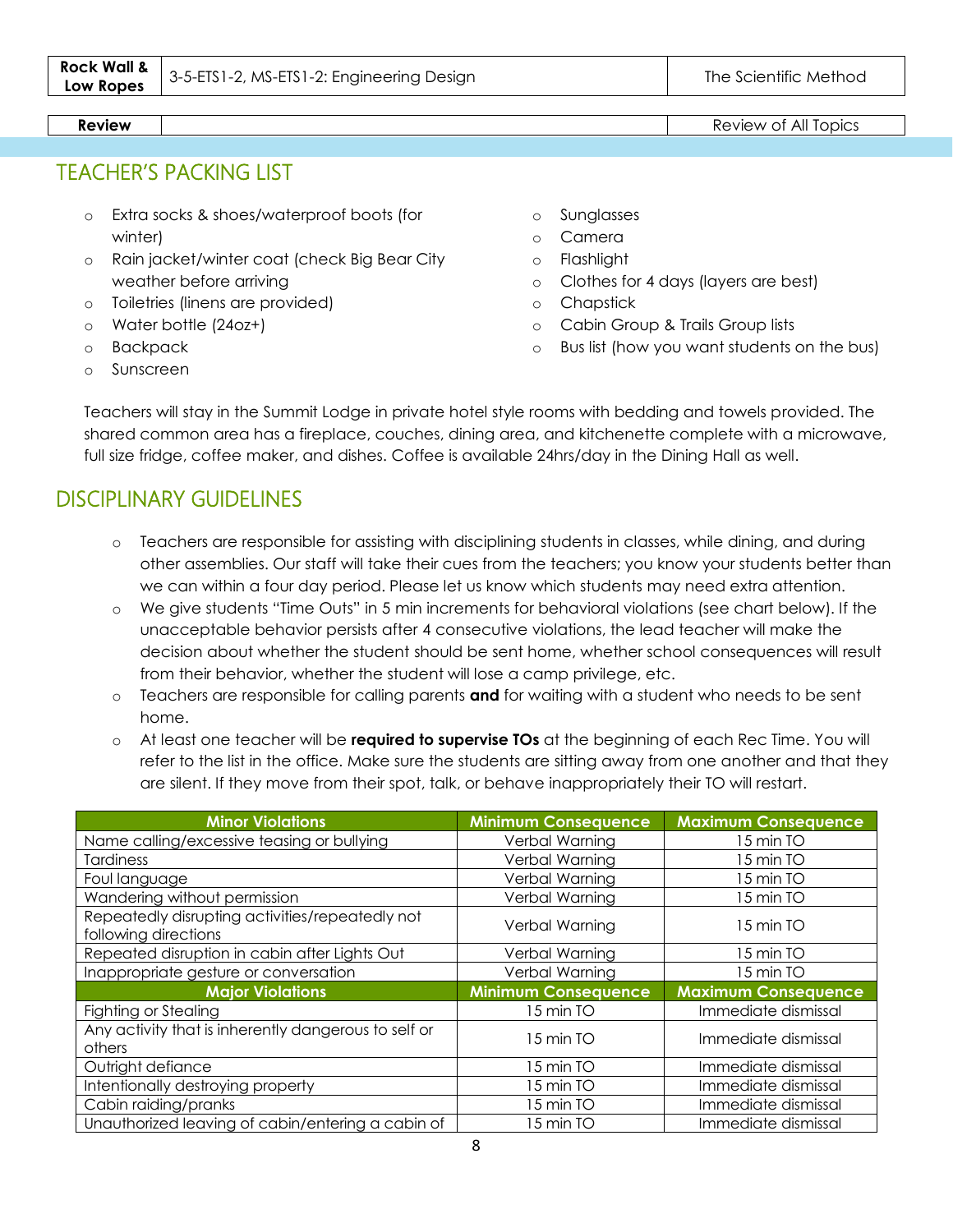#### **Review Review Review Review Review Review Review Review Review Review Review Review Review Review Review Review Review Review Review Review Review Review Review Review Revie**

TEACHER'S PACKING LIST

- o Extra socks & shoes/waterproof boots (for winter)
- o Rain jacket/winter coat (check Big Bear City weather before arriving
- o Toiletries (linens are provided)
- o Water bottle (24oz+)
- o Backpack
- o Sunscreen
- o Sunglasses
- o Camera
- o Flashlight
- o Clothes for 4 days (layers are best)
- o Chapstick
- o Cabin Group & Trails Group lists
- o Bus list (how you want students on the bus)

Teachers will stay in the Summit Lodge in private hotel style rooms with bedding and towels provided. The shared common area has a fireplace, couches, dining area, and kitchenette complete with a microwave, full size fridge, coffee maker, and dishes. Coffee is available 24hrs/day in the Dining Hall as well.

### DISCIPLINARY GUIDELINES

- o Teachers are responsible for assisting with disciplining students in classes, while dining, and during other assemblies. Our staff will take their cues from the teachers; you know your students better than we can within a four day period. Please let us know which students may need extra attention.
- o We give students "Time Outs" in 5 min increments for behavioral violations (see chart below). If the unacceptable behavior persists after 4 consecutive violations, the lead teacher will make the decision about whether the student should be sent home, whether school consequences will result from their behavior, whether the student will lose a camp privilege, etc.
- o Teachers are responsible for calling parents **and** for waiting with a student who needs to be sent home.
- o At least one teacher will be **required to supervise TOs** at the beginning of each Rec Time. You will refer to the list in the office. Make sure the students are sitting away from one another and that they are silent. If they move from their spot, talk, or behave inappropriately their TO will restart.

| <b>Minor Violations</b>                                                 | <b>Minimum Consequence</b> | <b>Maximum Consequence</b> |
|-------------------------------------------------------------------------|----------------------------|----------------------------|
| Name calling/excessive teasing or bullying                              | Verbal Warning             | 15 min TO                  |
| <b>Tardiness</b>                                                        | Verbal Warning             | 15 min TO                  |
| Foul language                                                           | Verbal Warning             | 15 min TO                  |
| Wandering without permission                                            | Verbal Warning             | 15 min TO                  |
| Repeatedly disrupting activities/repeatedly not<br>following directions | Verbal Warning             | 15 min TO                  |
| Repeated disruption in cabin after Lights Out                           | Verbal Warning             | 15 min TO                  |
| Inappropriate gesture or conversation                                   | Verbal Warning             | 15 min TO                  |
| <b>Major Violations</b>                                                 | <b>Minimum Consequence</b> | <b>Maximum Consequence</b> |
| Fighting or Stealing                                                    | 15 min TO                  | Immediate dismissal        |
| Any activity that is inherently dangerous to self or<br>others          | 15 min TO                  | Immediate dismissal        |
| Outright defiance                                                       | 15 min TO                  | Immediate dismissal        |
| Intentionally destroying property                                       | 15 min TO                  | Immediate dismissal        |
| Cabin raiding/pranks                                                    | 15 min TO                  | Immediate dismissal        |
| Unauthorized leaving of cabin/entering a cabin of                       | 15 min TO                  | Immediate dismissal        |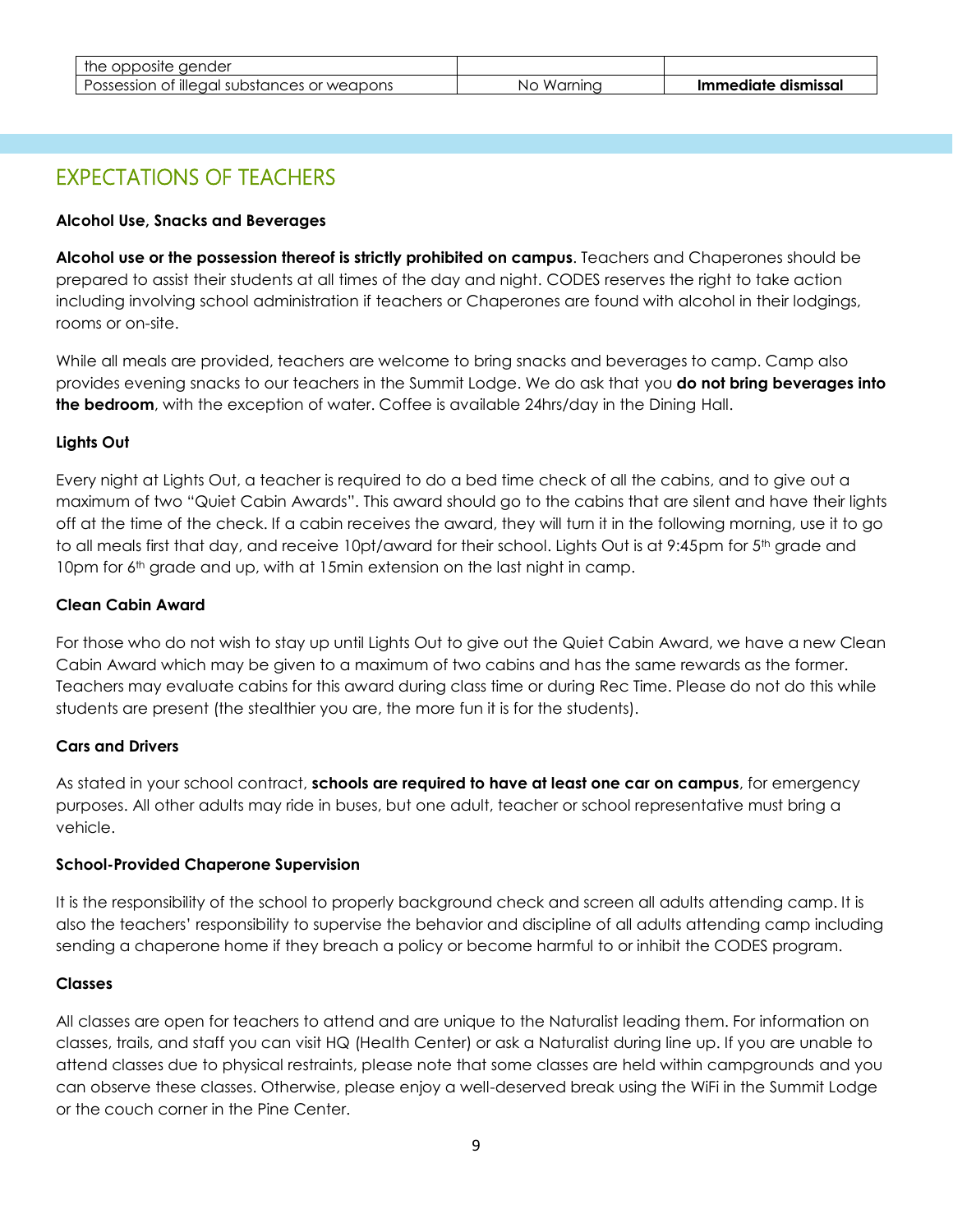| the opposite gender                         |                |                     |
|---------------------------------------------|----------------|---------------------|
| Possession of illegal substances or weapons | Warnina<br>NO. | Immediate dismissal |

## EXPECTATIONS OF TEACHERS

#### **Alcohol Use, Snacks and Beverages**

**Alcohol use or the possession thereof is strictly prohibited on campus**. Teachers and Chaperones should be prepared to assist their students at all times of the day and night. CODES reserves the right to take action including involving school administration if teachers or Chaperones are found with alcohol in their lodgings, rooms or on-site.

While all meals are provided, teachers are welcome to bring snacks and beverages to camp. Camp also provides evening snacks to our teachers in the Summit Lodge. We do ask that you **do not bring beverages into the bedroom**, with the exception of water. Coffee is available 24hrs/day in the Dining Hall.

#### **Lights Out**

Every night at Lights Out, a teacher is required to do a bed time check of all the cabins, and to give out a maximum of two "Quiet Cabin Awards". This award should go to the cabins that are silent and have their lights off at the time of the check. If a cabin receives the award, they will turn it in the following morning, use it to go to all meals first that day, and receive 10pt/award for their school. Lights Out is at 9:45pm for 5<sup>th</sup> grade and 10pm for 6<sup>th</sup> grade and up, with at 15min extension on the last night in camp.

#### **Clean Cabin Award**

For those who do not wish to stay up until Lights Out to give out the Quiet Cabin Award, we have a new Clean Cabin Award which may be given to a maximum of two cabins and has the same rewards as the former. Teachers may evaluate cabins for this award during class time or during Rec Time. Please do not do this while students are present (the stealthier you are, the more fun it is for the students).

#### **Cars and Drivers**

As stated in your school contract, **schools are required to have at least one car on campus**, for emergency purposes. All other adults may ride in buses, but one adult, teacher or school representative must bring a vehicle.

#### **School-Provided Chaperone Supervision**

It is the responsibility of the school to properly background check and screen all adults attending camp. It is also the teachers' responsibility to supervise the behavior and discipline of all adults attending camp including sending a chaperone home if they breach a policy or become harmful to or inhibit the CODES program.

#### **Classes**

All classes are open for teachers to attend and are unique to the Naturalist leading them. For information on classes, trails, and staff you can visit HQ (Health Center) or ask a Naturalist during line up. If you are unable to attend classes due to physical restraints, please note that some classes are held within campgrounds and you can observe these classes. Otherwise, please enjoy a well-deserved break using the WiFi in the Summit Lodge or the couch corner in the Pine Center.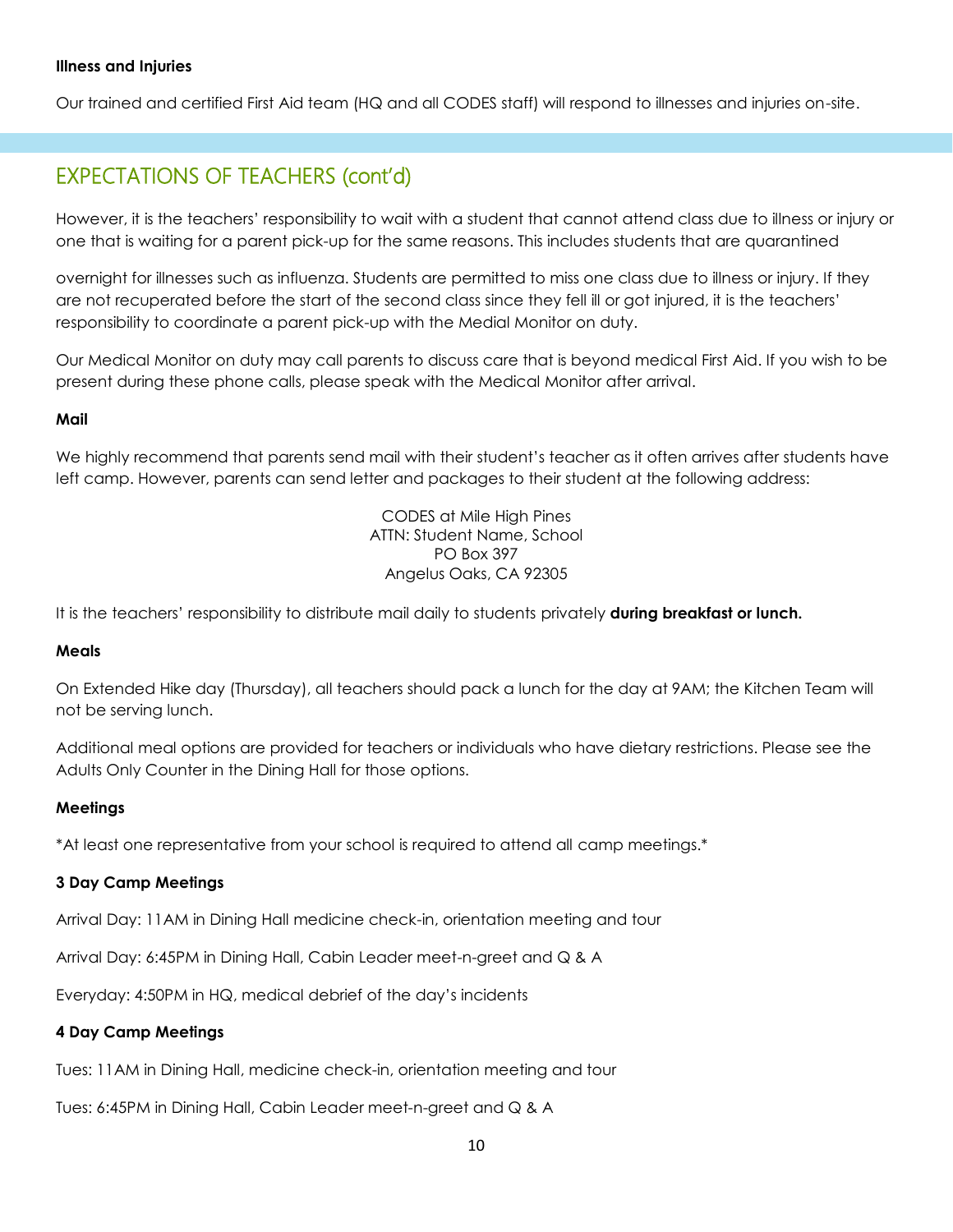#### **Illness and Injuries**

Our trained and certified First Aid team (HQ and all CODES staff) will respond to illnesses and injuries on-site.

### EXPECTATIONS OF TEACHERS (cont'd)

However, it is the teachers' responsibility to wait with a student that cannot attend class due to illness or injury or one that is waiting for a parent pick-up for the same reasons. This includes students that are quarantined

overnight for illnesses such as influenza. Students are permitted to miss one class due to illness or injury. If they are not recuperated before the start of the second class since they fell ill or got injured, it is the teachers' responsibility to coordinate a parent pick-up with the Medial Monitor on duty.

Our Medical Monitor on duty may call parents to discuss care that is beyond medical First Aid. If you wish to be present during these phone calls, please speak with the Medical Monitor after arrival.

#### **Mail**

We highly recommend that parents send mail with their student's teacher as it often arrives after students have left camp. However, parents can send letter and packages to their student at the following address:

> CODES at Mile High Pines ATTN: Student Name, School PO Box 397 Angelus Oaks, CA 92305

It is the teachers' responsibility to distribute mail daily to students privately **during breakfast or lunch.**

#### **Meals**

On Extended Hike day (Thursday), all teachers should pack a lunch for the day at 9AM; the Kitchen Team will not be serving lunch.

Additional meal options are provided for teachers or individuals who have dietary restrictions. Please see the Adults Only Counter in the Dining Hall for those options.

#### **Meetings**

\*At least one representative from your school is required to attend all camp meetings.\*

#### **3 Day Camp Meetings**

Arrival Day: 11AM in Dining Hall medicine check-in, orientation meeting and tour

Arrival Day: 6:45PM in Dining Hall, Cabin Leader meet-n-greet and Q & A

Everyday: 4:50PM in HQ, medical debrief of the day's incidents

#### **4 Day Camp Meetings**

Tues: 11AM in Dining Hall, medicine check-in, orientation meeting and tour

Tues: 6:45PM in Dining Hall, Cabin Leader meet-n-greet and Q & A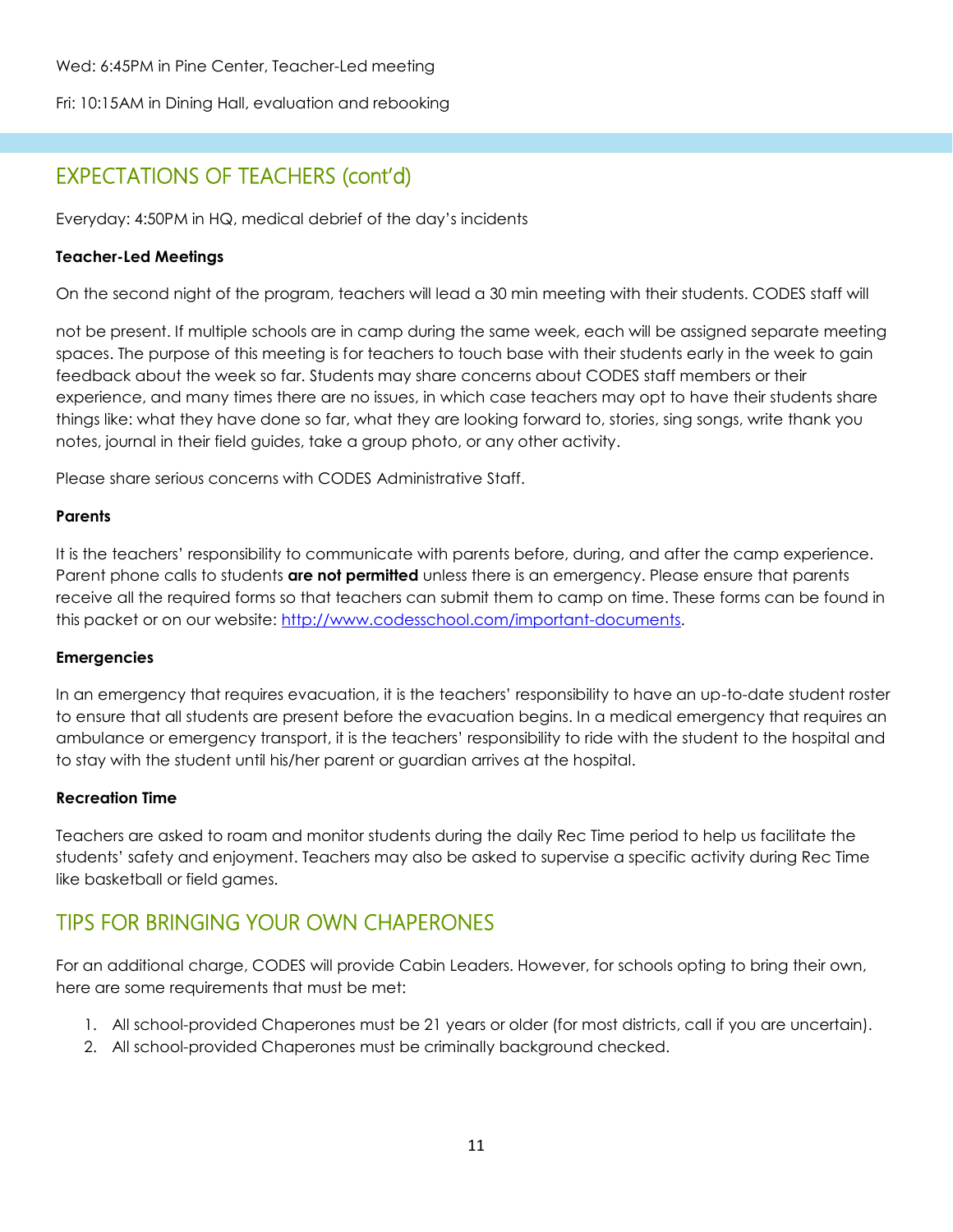Wed: 6:45PM in Pine Center, Teacher-Led meeting

Fri: 10:15AM in Dining Hall, evaluation and rebooking

## EXPECTATIONS OF TEACHERS (cont'd)

Everyday: 4:50PM in HQ, medical debrief of the day's incidents

#### **Teacher-Led Meetings**

On the second night of the program, teachers will lead a 30 min meeting with their students. CODES staff will

not be present. If multiple schools are in camp during the same week, each will be assigned separate meeting spaces. The purpose of this meeting is for teachers to touch base with their students early in the week to gain feedback about the week so far. Students may share concerns about CODES staff members or their experience, and many times there are no issues, in which case teachers may opt to have their students share things like: what they have done so far, what they are looking forward to, stories, sing songs, write thank you notes, journal in their field guides, take a group photo, or any other activity.

Please share serious concerns with CODES Administrative Staff.

#### **Parents**

It is the teachers' responsibility to communicate with parents before, during, and after the camp experience. Parent phone calls to students **are not permitted** unless there is an emergency. Please ensure that parents receive all the required forms so that teachers can submit them to camp on time. These forms can be found in this packet or on our website: [http://www.codesschool.com/important-documents.](http://www.codesschool.com/important-documents)

#### **Emergencies**

In an emergency that requires evacuation, it is the teachers' responsibility to have an up-to-date student roster to ensure that all students are present before the evacuation begins. In a medical emergency that requires an ambulance or emergency transport, it is the teachers' responsibility to ride with the student to the hospital and to stay with the student until his/her parent or guardian arrives at the hospital.

#### **Recreation Time**

Teachers are asked to roam and monitor students during the daily Rec Time period to help us facilitate the students' safety and enjoyment. Teachers may also be asked to supervise a specific activity during Rec Time like basketball or field games.

### TIPS FOR BRINGING YOUR OWN CHAPERONES

For an additional charge, CODES will provide Cabin Leaders. However, for schools opting to bring their own, here are some requirements that must be met:

- 1. All school-provided Chaperones must be 21 years or older (for most districts, call if you are uncertain).
- 2. All school-provided Chaperones must be criminally background checked.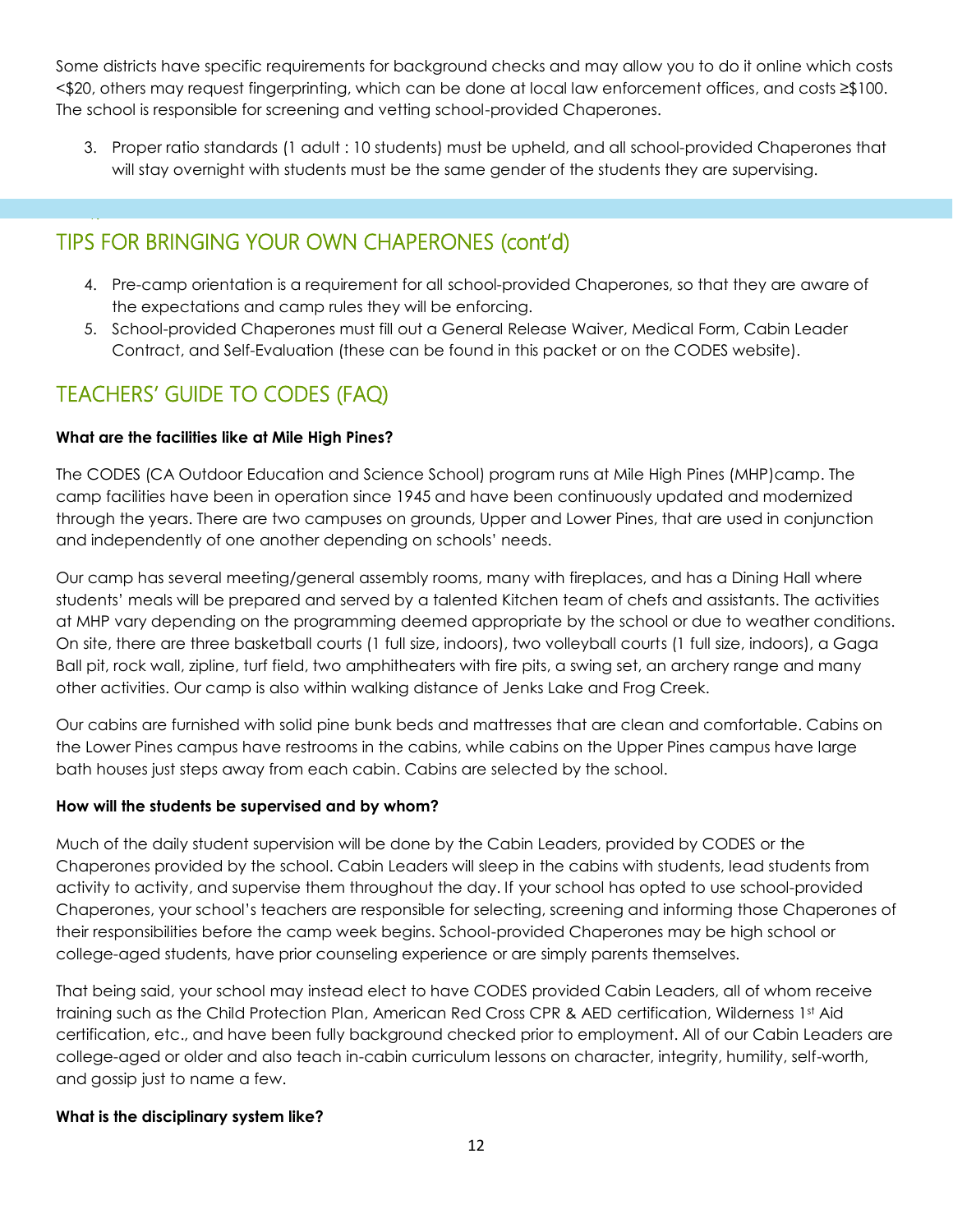Some districts have specific requirements for background checks and may allow you to do it online which costs <\$20, others may request fingerprinting, which can be done at local law enforcement offices, and costs ≥\$100. The school is responsible for screening and vetting school-provided Chaperones.

3. Proper ratio standards (1 adult : 10 students) must be upheld, and all school-provided Chaperones that will stay overnight with students must be the same gender of the students they are supervising.

### TIPS FOR BRINGING YOUR OWN CHAPERONES (cont'd)

- 4. Pre-camp orientation is a requirement for all school-provided Chaperones, so that they are aware of the expectations and camp rules they will be enforcing.
- 5. School-provided Chaperones must fill out a General Release Waiver, Medical Form, Cabin Leader Contract, and Self-Evaluation (these can be found in this packet or on the CODES website).

### TEACHERS' GUIDE TO CODES (FAQ)

4.

#### **What are the facilities like at Mile High Pines?**

The CODES (CA Outdoor Education and Science School) program runs at Mile High Pines (MHP)camp. The camp facilities have been in operation since 1945 and have been continuously updated and modernized through the years. There are two campuses on grounds, Upper and Lower Pines, that are used in conjunction and independently of one another depending on schools' needs.

Our camp has several meeting/general assembly rooms, many with fireplaces, and has a Dining Hall where students' meals will be prepared and served by a talented Kitchen team of chefs and assistants. The activities at MHP vary depending on the programming deemed appropriate by the school or due to weather conditions. On site, there are three basketball courts (1 full size, indoors), two volleyball courts (1 full size, indoors), a Gaga Ball pit, rock wall, zipline, turf field, two amphitheaters with fire pits, a swing set, an archery range and many other activities. Our camp is also within walking distance of Jenks Lake and Frog Creek.

Our cabins are furnished with solid pine bunk beds and mattresses that are clean and comfortable. Cabins on the Lower Pines campus have restrooms in the cabins, while cabins on the Upper Pines campus have large bath houses just steps away from each cabin. Cabins are selected by the school.

#### **How will the students be supervised and by whom?**

Much of the daily student supervision will be done by the Cabin Leaders, provided by CODES or the Chaperones provided by the school. Cabin Leaders will sleep in the cabins with students, lead students from activity to activity, and supervise them throughout the day. If your school has opted to use school-provided Chaperones, your school's teachers are responsible for selecting, screening and informing those Chaperones of their responsibilities before the camp week begins. School-provided Chaperones may be high school or college-aged students, have prior counseling experience or are simply parents themselves.

That being said, your school may instead elect to have CODES provided Cabin Leaders, all of whom receive training such as the Child Protection Plan, American Red Cross CPR & AED certification, Wilderness 1st Aid certification, etc., and have been fully background checked prior to employment. All of our Cabin Leaders are college-aged or older and also teach in-cabin curriculum lessons on character, integrity, humility, self-worth, and gossip just to name a few.

#### **What is the disciplinary system like?**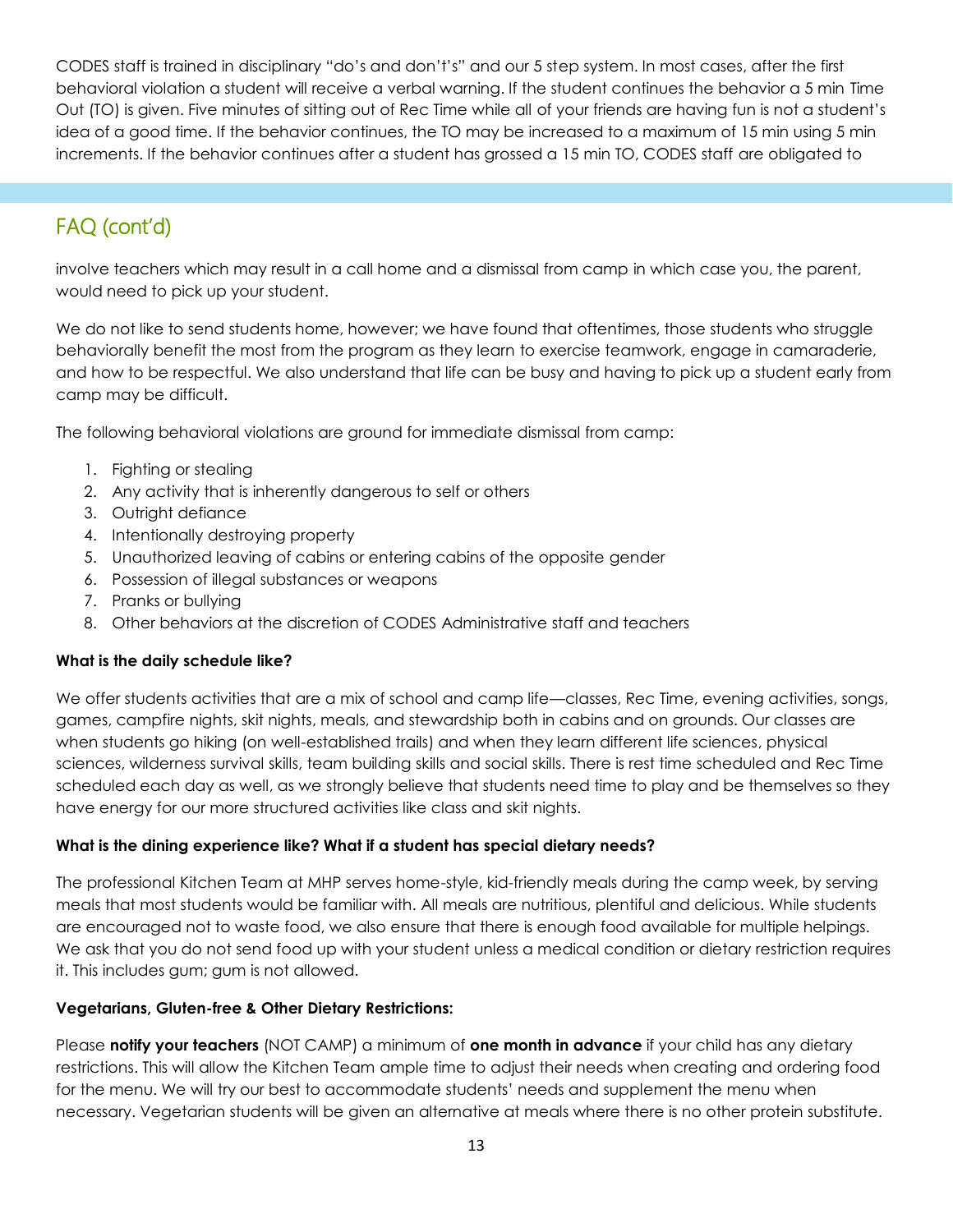CODES staff is trained in disciplinary "do's and don't's" and our 5 step system. In most cases, after the first behavioral violation a student will receive a verbal warning. If the student continues the behavior a 5 min Time Out (TO) is given. Five minutes of sitting out of Rec Time while all of your friends are having fun is not a student's idea of a good time. If the behavior continues, the TO may be increased to a maximum of 15 min using 5 min increments. If the behavior continues after a student has grossed a 15 min TO, CODES staff are obligated to

## FAQ (cont'd)

involve teachers which may result in a call home and a dismissal from camp in which case you, the parent, would need to pick up your student.

We do not like to send students home, however; we have found that oftentimes, those students who struggle behaviorally benefit the most from the program as they learn to exercise teamwork, engage in camaraderie, and how to be respectful. We also understand that life can be busy and having to pick up a student early from camp may be difficult.

The following behavioral violations are ground for immediate dismissal from camp:

- 1. Fighting or stealing
- 2. Any activity that is inherently dangerous to self or others
- 3. Outright defiance
- 4. Intentionally destroying property
- 5. Unauthorized leaving of cabins or entering cabins of the opposite gender
- 6. Possession of illegal substances or weapons
- 7. Pranks or bullying
- 8. Other behaviors at the discretion of CODES Administrative staff and teachers

#### **What is the daily schedule like?**

We offer students activities that are a mix of school and camp life—classes, Rec Time, evening activities, songs, games, campfire nights, skit nights, meals, and stewardship both in cabins and on grounds. Our classes are when students go hiking (on well-established trails) and when they learn different life sciences, physical sciences, wilderness survival skills, team building skills and social skills. There is rest time scheduled and Rec Time scheduled each day as well, as we strongly believe that students need time to play and be themselves so they have energy for our more structured activities like class and skit nights.

#### **What is the dining experience like? What if a student has special dietary needs?**

The professional Kitchen Team at MHP serves home-style, kid-friendly meals during the camp week, by serving meals that most students would be familiar with. All meals are nutritious, plentiful and delicious. While students are encouraged not to waste food, we also ensure that there is enough food available for multiple helpings. We ask that you do not send food up with your student unless a medical condition or dietary restriction requires it. This includes gum; gum is not allowed.

#### **Vegetarians, Gluten-free & Other Dietary Restrictions:**

Please **notify your teachers** (NOT CAMP) a minimum of **one month in advance** if your child has any dietary restrictions. This will allow the Kitchen Team ample time to adjust their needs when creating and ordering food for the menu. We will try our best to accommodate students' needs and supplement the menu when necessary. Vegetarian students will be given an alternative at meals where there is no other protein substitute.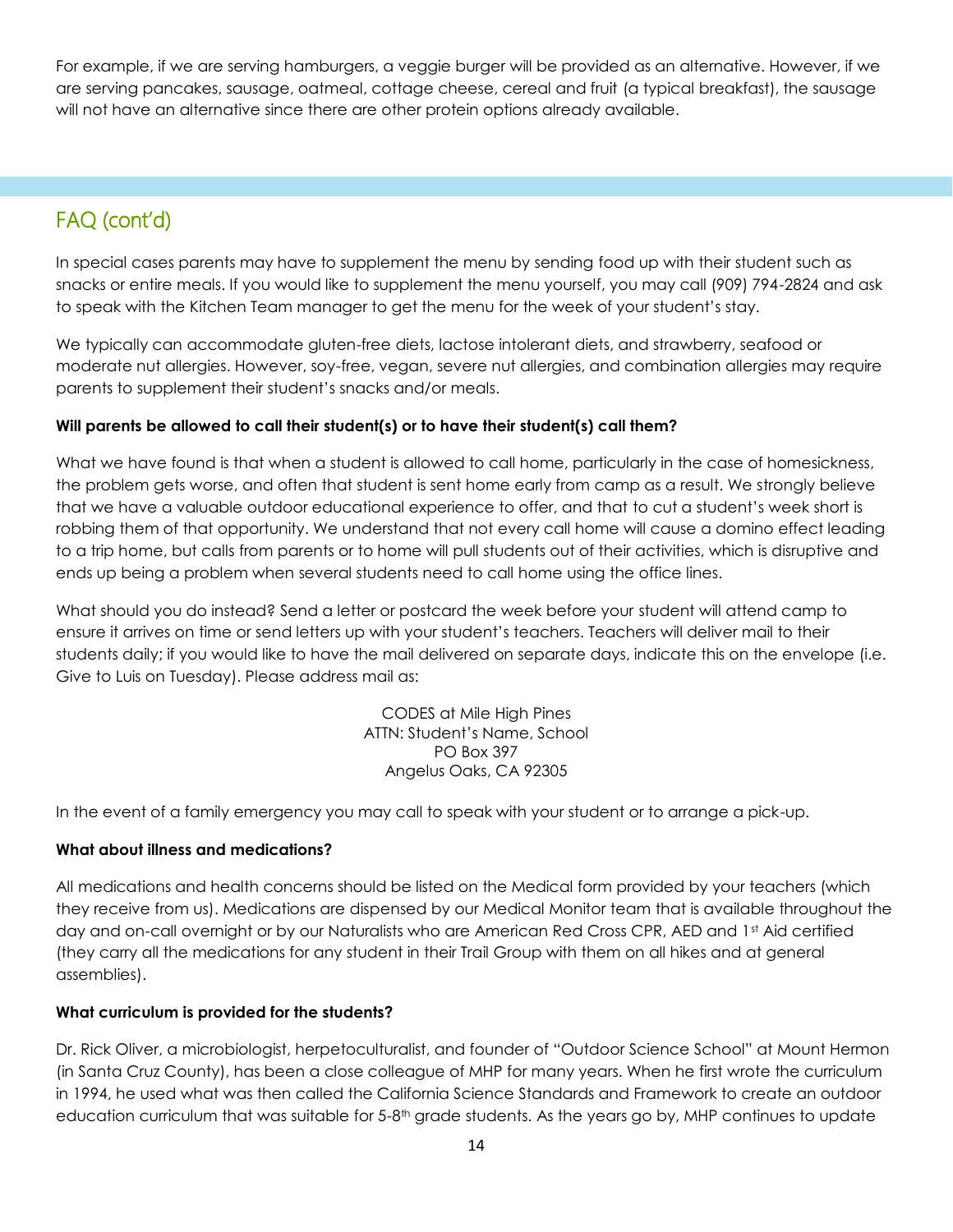For example, if we are serving hamburgers, a veggie burger will be provided as an alternative. However, if we are serving pancakes, sausage, oatmeal, cottage cheese, cereal and fruit (a typical breakfast), the sausage will not have an alternative since there are other protein options already available.

## FAQ (cont'd)

In special cases parents may have to supplement the menu by sending food up with their student such as snacks or entire meals. If you would like to supplement the menu yourself, you may call (909) 794-2824 and ask to speak with the Kitchen Team manager to get the menu for the week of your student's stay.

We typically can accommodate gluten-free diets, lactose intolerant diets, and strawberry, seafood or moderate nut allergies. However, soy-free, vegan, severe nut allergies, and combination allergies may require parents to supplement their student's snacks and/or meals.

#### **Will parents be allowed to call their student(s) or to have their student(s) call them?**

What we have found is that when a student is allowed to call home, particularly in the case of homesickness, the problem gets worse, and often that student is sent home early from camp as a result. We strongly believe that we have a valuable outdoor educational experience to offer, and that to cut a student's week short is robbing them of that opportunity. We understand that not every call home will cause a domino effect leading to a trip home, but calls from parents or to home will pull students out of their activities, which is disruptive and ends up being a problem when several students need to call home using the office lines.

What should you do instead? Send a letter or postcard the week before your student will attend camp to ensure it arrives on time or send letters up with your student's teachers. Teachers will deliver mail to their students daily; if you would like to have the mail delivered on separate days, indicate this on the envelope (i.e. Give to Luis on Tuesday). Please address mail as:

> CODES at Mile High Pines ATTN: Student's Name, School PO Box 397 Angelus Oaks, CA 92305

In the event of a family emergency you may call to speak with your student or to arrange a pick-up.

#### **What about illness and medications?**

All medications and health concerns should be listed on the Medical form provided by your teachers (which they receive from us). Medications are dispensed by our Medical Monitor team that is available throughout the day and on-call overnight or by our Naturalists who are American Red Cross CPR, AED and 1st Aid certified (they carry all the medications for any student in their Trail Group with them on all hikes and at general assemblies).

#### **What curriculum is provided for the students?**

Dr. Rick Oliver, a microbiologist, herpetoculturalist, and founder of "Outdoor Science School" at Mount Hermon (in Santa Cruz County), has been a close colleague of MHP for many years. When he first wrote the curriculum in 1994, he used what was then called the California Science Standards and Framework to create an outdoor education curriculum that was suitable for  $5-8<sup>th</sup>$  grade students. As the years go by, MHP continues to update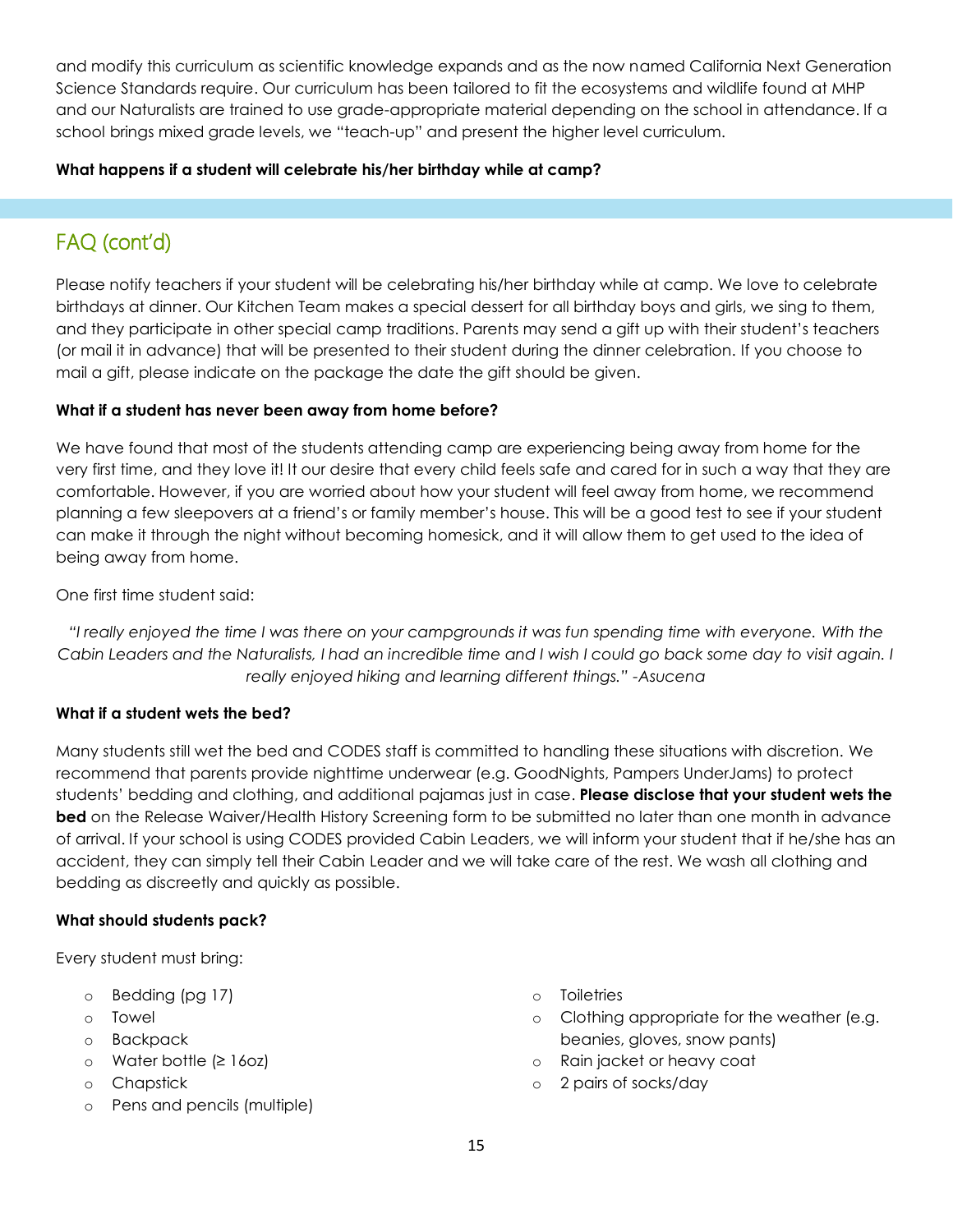and modify this curriculum as scientific knowledge expands and as the now named California Next Generation Science Standards require. Our curriculum has been tailored to fit the ecosystems and wildlife found at MHP and our Naturalists are trained to use grade-appropriate material depending on the school in attendance. If a school brings mixed grade levels, we "teach-up" and present the higher level curriculum.

#### **What happens if a student will celebrate his/her birthday while at camp?**

## FAQ (cont'd)

Please notify teachers if your student will be celebrating his/her birthday while at camp. We love to celebrate birthdays at dinner. Our Kitchen Team makes a special dessert for all birthday boys and girls, we sing to them, and they participate in other special camp traditions. Parents may send a gift up with their student's teachers (or mail it in advance) that will be presented to their student during the dinner celebration. If you choose to mail a gift, please indicate on the package the date the gift should be given.

#### **What if a student has never been away from home before?**

We have found that most of the students attending camp are experiencing being away from home for the very first time, and they love it! It our desire that every child feels safe and cared for in such a way that they are comfortable. However, if you are worried about how your student will feel away from home, we recommend planning a few sleepovers at a friend's or family member's house. This will be a good test to see if your student can make it through the night without becoming homesick, and it will allow them to get used to the idea of being away from home.

One first time student said:

*"I really enjoyed the time I was there on your campgrounds it was fun spending time with everyone. With the Cabin Leaders and the Naturalists, I had an incredible time and I wish I could go back some day to visit again. I really enjoyed hiking and learning different things." -Asucena*

#### **What if a student wets the bed?**

Many students still wet the bed and CODES staff is committed to handling these situations with discretion. We recommend that parents provide nighttime underwear (e.g. GoodNights, Pampers UnderJams) to protect students' bedding and clothing, and additional pajamas just in case. **Please disclose that your student wets the bed** on the Release Waiver/Health History Screening form to be submitted no later than one month in advance of arrival. If your school is using CODES provided Cabin Leaders, we will inform your student that if he/she has an accident, they can simply tell their Cabin Leader and we will take care of the rest. We wash all clothing and bedding as discreetly and quickly as possible.

#### **What should students pack?**

Every student must bring:

- o Bedding (pg 17)
- o Towel
- o Backpack
- o Water bottle (≥ 16oz)
- o Chapstick
- o Pens and pencils (multiple)
- o Toiletries
- o Clothing appropriate for the weather (e.g. beanies, gloves, snow pants)
- o Rain jacket or heavy coat
- o 2 pairs of socks/day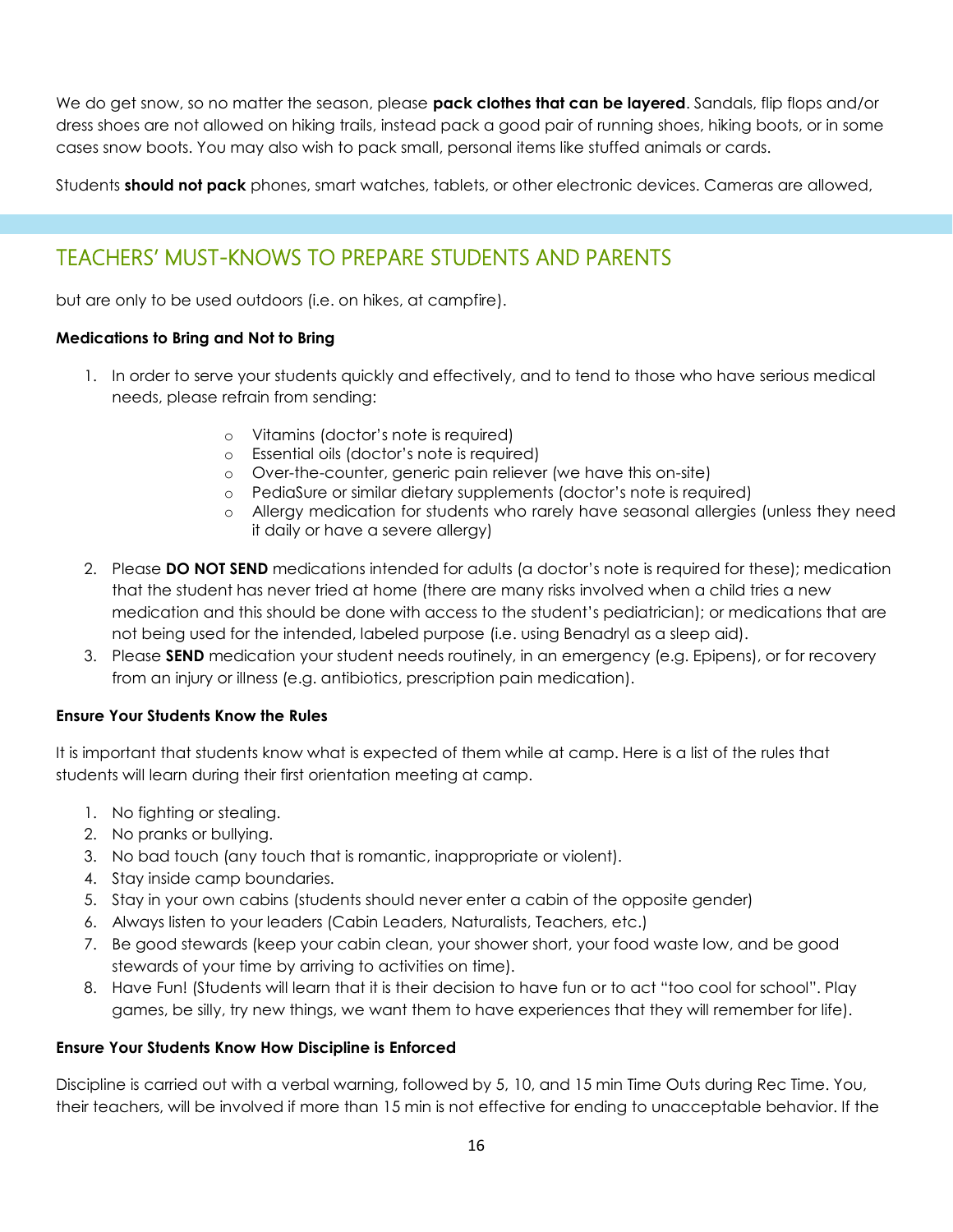We do get snow, so no matter the season, please **pack clothes that can be layered**. Sandals, flip flops and/or dress shoes are not allowed on hiking trails, instead pack a good pair of running shoes, hiking boots, or in some cases snow boots. You may also wish to pack small, personal items like stuffed animals or cards.

Students **should not pack** phones, smart watches, tablets, or other electronic devices. Cameras are allowed,

### TEACHERS' MUST-KNOWS TO PREPARE STUDENTS AND PARENTS

but are only to be used outdoors (i.e. on hikes, at campfire).

#### **Medications to Bring and Not to Bring**

- 1. In order to serve your students quickly and effectively, and to tend to those who have serious medical needs, please refrain from sending:
	- o Vitamins (doctor's note is required)
	- o Essential oils (doctor's note is required)
	- o Over-the-counter, generic pain reliever (we have this on-site)
	- o PediaSure or similar dietary supplements (doctor's note is required)
	- o Allergy medication for students who rarely have seasonal allergies (unless they need it daily or have a severe allergy)
- 2. Please **DO NOT SEND** medications intended for adults (a doctor's note is required for these); medication that the student has never tried at home (there are many risks involved when a child tries a new medication and this should be done with access to the student's pediatrician); or medications that are not being used for the intended, labeled purpose (i.e. using Benadryl as a sleep aid).
- 3. Please **SEND** medication your student needs routinely, in an emergency (e.g. Epipens), or for recovery from an injury or illness (e.g. antibiotics, prescription pain medication).

#### **Ensure Your Students Know the Rules**

It is important that students know what is expected of them while at camp. Here is a list of the rules that students will learn during their first orientation meeting at camp.

- 1. No fighting or stealing.
- 2. No pranks or bullying.
- 3. No bad touch (any touch that is romantic, inappropriate or violent).
- 4. Stay inside camp boundaries.
- 5. Stay in your own cabins (students should never enter a cabin of the opposite gender)
- 6. Always listen to your leaders (Cabin Leaders, Naturalists, Teachers, etc.)
- 7. Be good stewards (keep your cabin clean, your shower short, your food waste low, and be good stewards of your time by arriving to activities on time).
- 8. Have Fun! (Students will learn that it is their decision to have fun or to act "too cool for school". Play games, be silly, try new things, we want them to have experiences that they will remember for life).

#### **Ensure Your Students Know How Discipline is Enforced**

Discipline is carried out with a verbal warning, followed by 5, 10, and 15 min Time Outs during Rec Time. You, their teachers, will be involved if more than 15 min is not effective for ending to unacceptable behavior. If the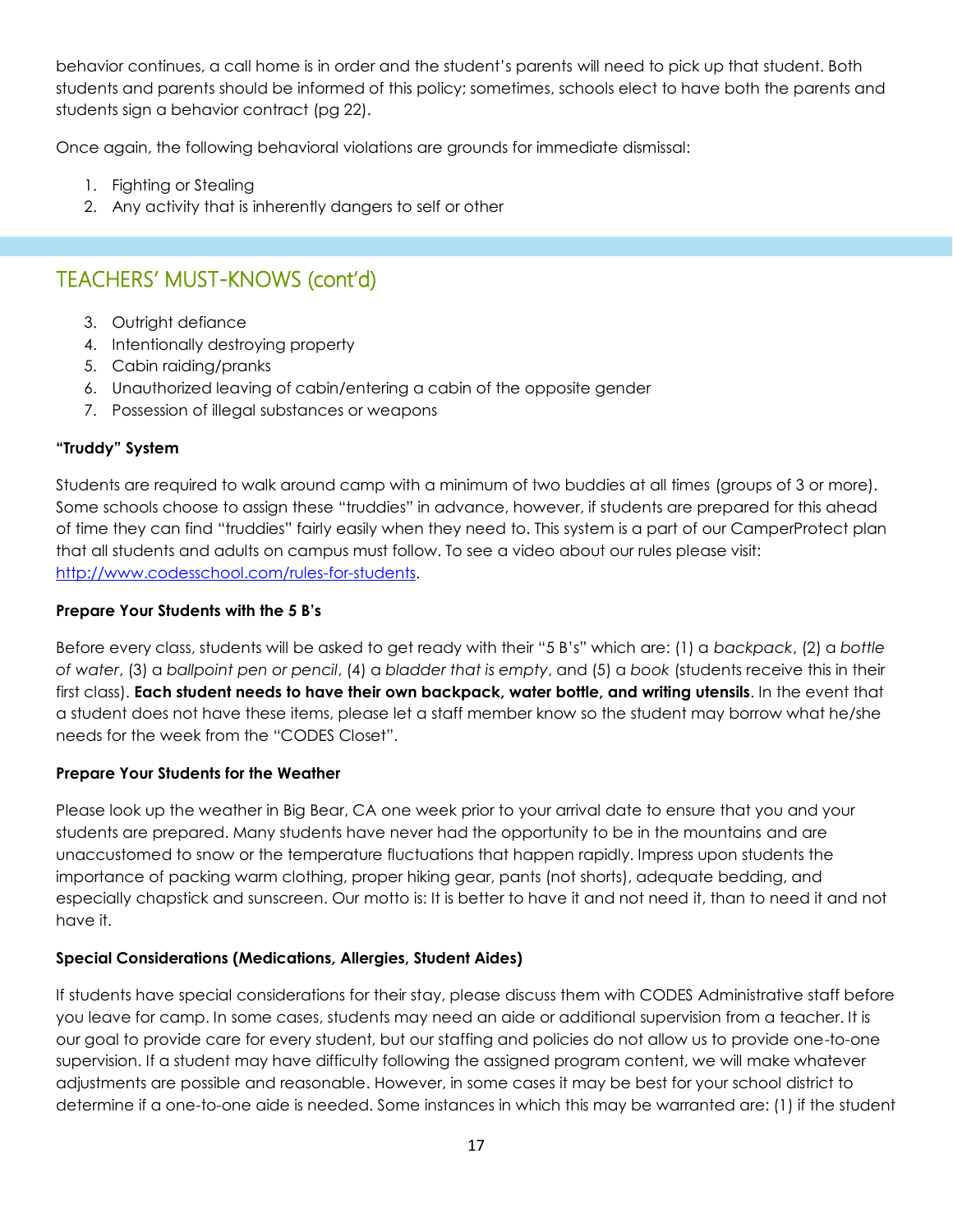behavior continues, a call home is in order and the student's parents will need to pick up that student. Both students and parents should be informed of this policy; sometimes, schools elect to have both the parents and students sign a behavior contract (pg 22).

Once again, the following behavioral violations are grounds for immediate dismissal:

- 1. Fighting or Stealing
- 2. Any activity that is inherently dangers to self or other

### TEACHERS' MUST-KNOWS (cont'd)

- 3. Outright defiance
- 4. Intentionally destroying property
- 5. Cabin raiding/pranks
- 6. Unauthorized leaving of cabin/entering a cabin of the opposite gender
- 7. Possession of illegal substances or weapons

#### **"Truddy" System**

Students are required to walk around camp with a minimum of two buddies at all times (groups of 3 or more). Some schools choose to assign these "truddies" in advance, however, if students are prepared for this ahead of time they can find "truddies" fairly easily when they need to. This system is a part of our CamperProtect plan that all students and adults on campus must follow. To see a video about our rules please visit: [http://www.codesschool.com/rules-for-students.](http://www.codesschool.com/rules-for-students)

#### **Prepare Your Students with the 5 B's**

Before every class, students will be asked to get ready with their "5 B's" which are: (1) a *backpack*, (2) a *bottle of water*, (3) a *ballpoint pen or pencil*, (4) a *bladder that is empty*, and (5) a *book* (students receive this in their first class). **Each student needs to have their own backpack, water bottle, and writing utensils**. In the event that a student does not have these items, please let a staff member know so the student may borrow what he/she needs for the week from the "CODES Closet".

#### **Prepare Your Students for the Weather**

Please look up the weather in Big Bear, CA one week prior to your arrival date to ensure that you and your students are prepared. Many students have never had the opportunity to be in the mountains and are unaccustomed to snow or the temperature fluctuations that happen rapidly. Impress upon students the importance of packing warm clothing, proper hiking gear, pants (not shorts), adequate bedding, and especially chapstick and sunscreen. Our motto is: It is better to have it and not need it, than to need it and not have it.

#### **Special Considerations (Medications, Allergies, Student Aides)**

If students have special considerations for their stay, please discuss them with CODES Administrative staff before you leave for camp. In some cases, students may need an aide or additional supervision from a teacher. It is our goal to provide care for every student, but our staffing and policies do not allow us to provide one-to-one supervision. If a student may have difficulty following the assigned program content, we will make whatever adjustments are possible and reasonable. However, in some cases it may be best for your school district to determine if a one-to-one aide is needed. Some instances in which this may be warranted are: (1) if the student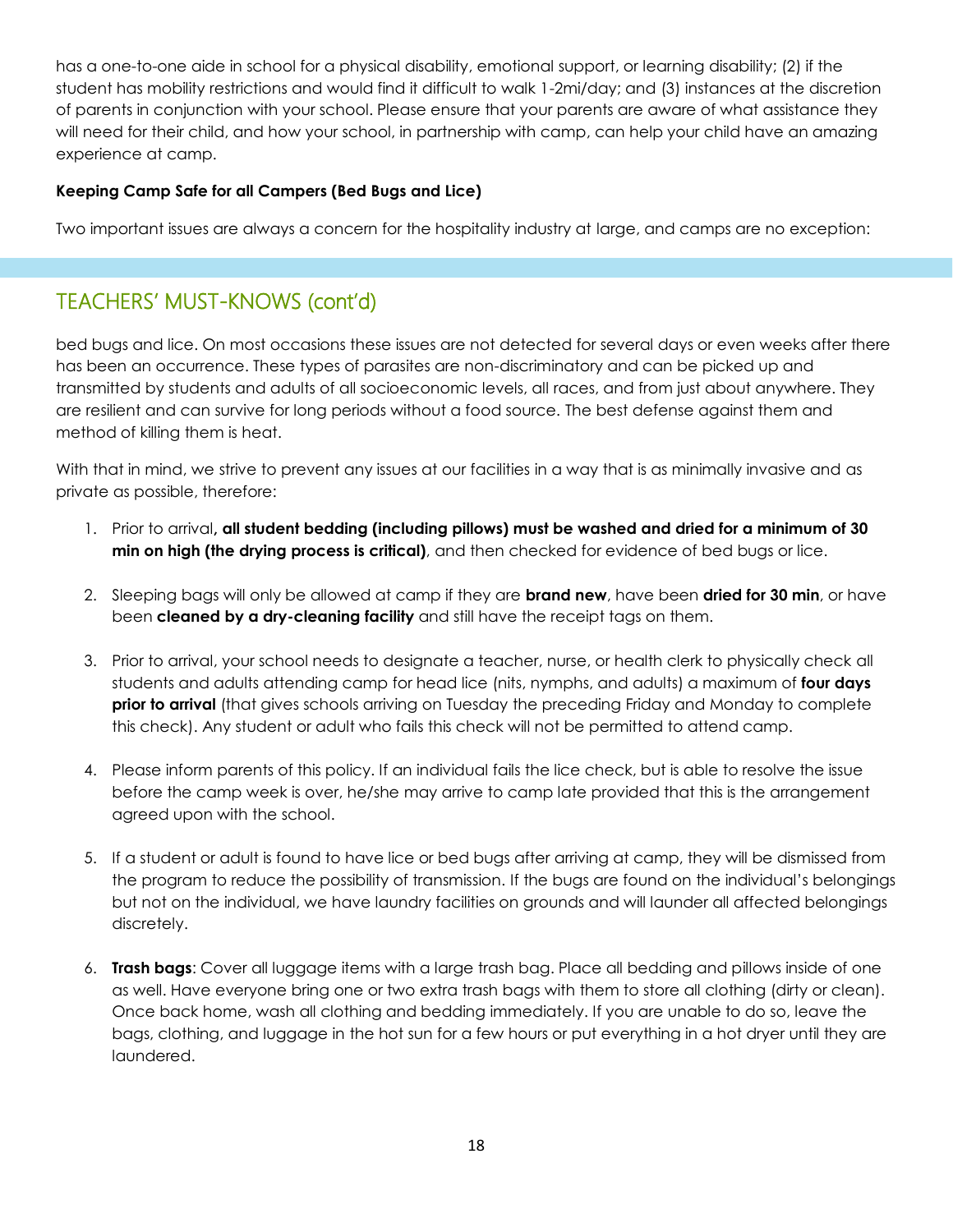has a one-to-one aide in school for a physical disability, emotional support, or learning disability; (2) if the student has mobility restrictions and would find it difficult to walk 1-2mi/day; and (3) instances at the discretion of parents in conjunction with your school. Please ensure that your parents are aware of what assistance they will need for their child, and how your school, in partnership with camp, can help your child have an amazing experience at camp.

#### **Keeping Camp Safe for all Campers (Bed Bugs and Lice)**

Two important issues are always a concern for the hospitality industry at large, and camps are no exception:

### TEACHERS' MUST-KNOWS (cont'd)

bed bugs and lice. On most occasions these issues are not detected for several days or even weeks after there has been an occurrence. These types of parasites are non-discriminatory and can be picked up and transmitted by students and adults of all socioeconomic levels, all races, and from just about anywhere. They are resilient and can survive for long periods without a food source. The best defense against them and method of killing them is heat.

With that in mind, we strive to prevent any issues at our facilities in a way that is as minimally invasive and as private as possible, therefore:

- 1. Prior to arrival**, all student bedding (including pillows) must be washed and dried for a minimum of 30 min on high (the drying process is critical)**, and then checked for evidence of bed bugs or lice.
- 2. Sleeping bags will only be allowed at camp if they are **brand new**, have been **dried for 30 min**, or have been **cleaned by a dry-cleaning facility** and still have the receipt tags on them.
- 3. Prior to arrival, your school needs to designate a teacher, nurse, or health clerk to physically check all students and adults attending camp for head lice (nits, nymphs, and adults) a maximum of **four days prior to arrival** (that gives schools arriving on Tuesday the preceding Friday and Monday to complete this check). Any student or adult who fails this check will not be permitted to attend camp.
- 4. Please inform parents of this policy. If an individual fails the lice check, but is able to resolve the issue before the camp week is over, he/she may arrive to camp late provided that this is the arrangement agreed upon with the school.
- 5. If a student or adult is found to have lice or bed bugs after arriving at camp, they will be dismissed from the program to reduce the possibility of transmission. If the bugs are found on the individual's belongings but not on the individual, we have laundry facilities on grounds and will launder all affected belongings discretely.
- 6. **Trash bags**: Cover all luggage items with a large trash bag. Place all bedding and pillows inside of one as well. Have everyone bring one or two extra trash bags with them to store all clothing (dirty or clean). Once back home, wash all clothing and bedding immediately. If you are unable to do so, leave the bags, clothing, and luggage in the hot sun for a few hours or put everything in a hot dryer until they are laundered.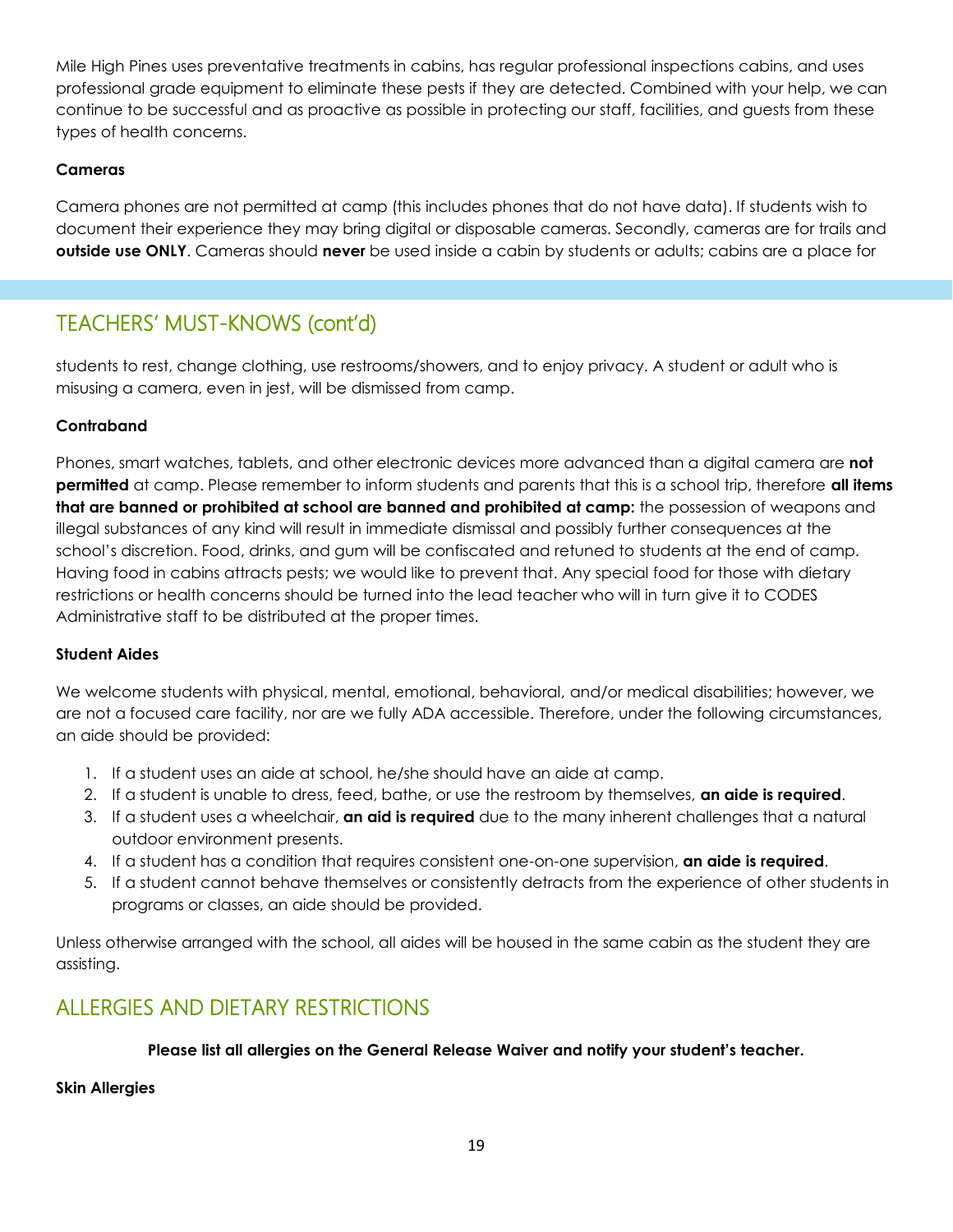Mile High Pines uses preventative treatments in cabins, has regular professional inspections cabins, and uses professional grade equipment to eliminate these pests if they are detected. Combined with your help, we can continue to be successful and as proactive as possible in protecting our staff, facilities, and guests from these types of health concerns.

#### **Cameras**

Camera phones are not permitted at camp (this includes phones that do not have data). If students wish to document their experience they may bring digital or disposable cameras. Secondly, cameras are for trails and **outside use ONLY**. Cameras should **never** be used inside a cabin by students or adults; cabins are a place for

### TEACHERS' MUST-KNOWS (cont'd)

students to rest, change clothing, use restrooms/showers, and to enjoy privacy. A student or adult who is misusing a camera, even in jest, will be dismissed from camp.

#### **Contraband**

Phones, smart watches, tablets, and other electronic devices more advanced than a digital camera are **not permitted** at camp. Please remember to inform students and parents that this is a school trip, therefore **all items that are banned or prohibited at school are banned and prohibited at camp:** the possession of weapons and illegal substances of any kind will result in immediate dismissal and possibly further consequences at the school's discretion. Food, drinks, and gum will be confiscated and retuned to students at the end of camp. Having food in cabins attracts pests; we would like to prevent that. Any special food for those with dietary restrictions or health concerns should be turned into the lead teacher who will in turn give it to CODES Administrative staff to be distributed at the proper times.

#### **Student Aides**

We welcome students with physical, mental, emotional, behavioral, and/or medical disabilities; however, we are not a focused care facility, nor are we fully ADA accessible. Therefore, under the following circumstances, an aide should be provided:

- 1. If a student uses an aide at school, he/she should have an aide at camp.
- 2. If a student is unable to dress, feed, bathe, or use the restroom by themselves, **an aide is required**.
- 3. If a student uses a wheelchair, **an aid is required** due to the many inherent challenges that a natural outdoor environment presents.
- 4. If a student has a condition that requires consistent one-on-one supervision, **an aide is required**.
- 5. If a student cannot behave themselves or consistently detracts from the experience of other students in programs or classes, an aide should be provided.

Unless otherwise arranged with the school, all aides will be housed in the same cabin as the student they are assisting.

### ALLERGIES AND DIETARY RESTRICTIONS

#### **Please list all allergies on the General Release Waiver and notify your student's teacher.**

**Skin Allergies**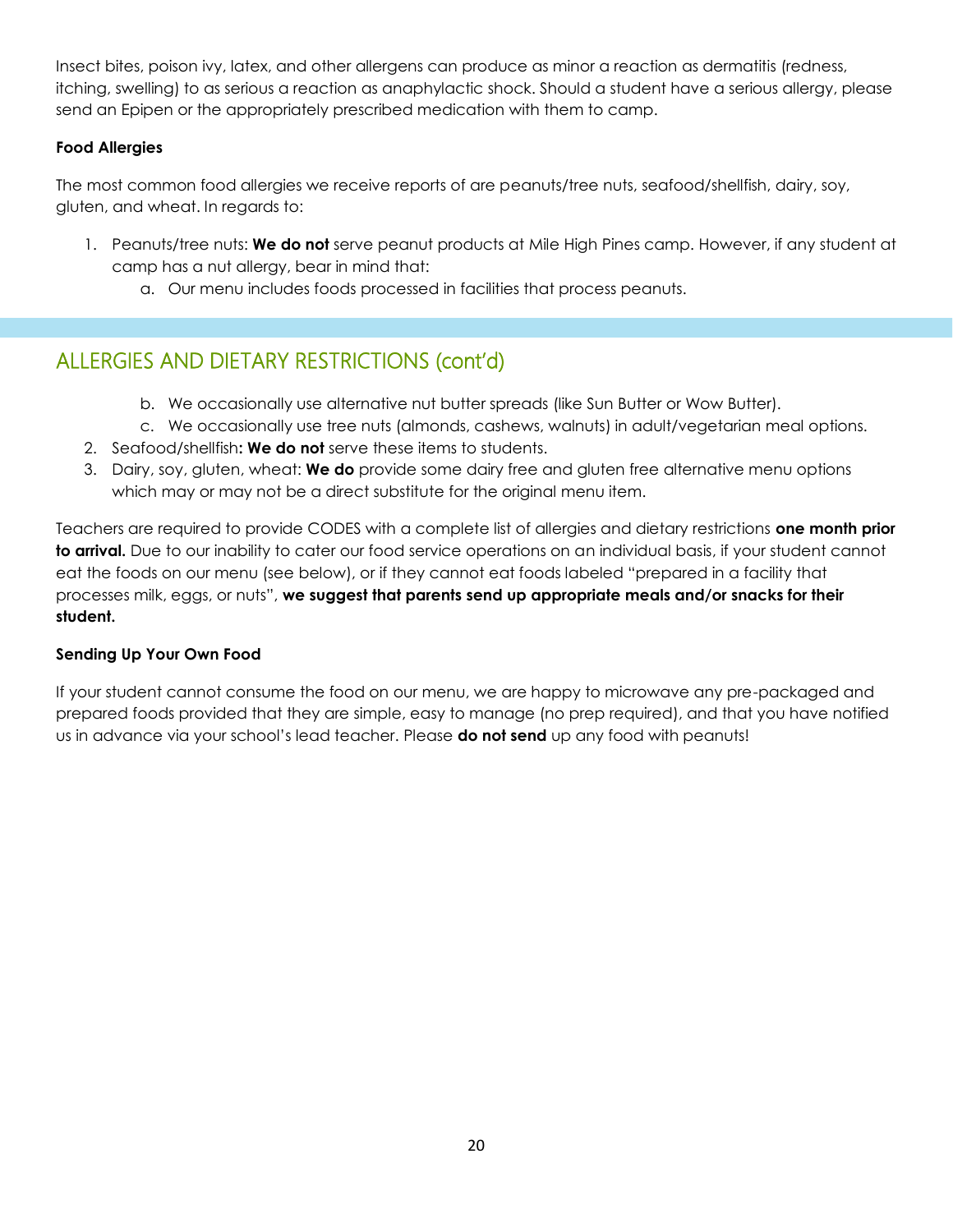Insect bites, poison ivy, latex, and other allergens can produce as minor a reaction as dermatitis (redness, itching, swelling) to as serious a reaction as anaphylactic shock. Should a student have a serious allergy, please send an Epipen or the appropriately prescribed medication with them to camp.

#### **Food Allergies**

The most common food allergies we receive reports of are peanuts/tree nuts, seafood/shellfish, dairy, soy, gluten, and wheat. In regards to:

- 1. Peanuts/tree nuts: **We do not** serve peanut products at Mile High Pines camp. However, if any student at camp has a nut allergy, bear in mind that:
	- a. Our menu includes foods processed in facilities that process peanuts.

## ALLERGIES AND DIETARY RESTRICTIONS (cont'd)

- b. We occasionally use alternative nut butter spreads (like Sun Butter or Wow Butter).
- c. We occasionally use tree nuts (almonds, cashews, walnuts) in adult/vegetarian meal options.
- 2. Seafood/shellfish**: We do not** serve these items to students.
- 3. Dairy, soy, gluten, wheat: **We do** provide some dairy free and gluten free alternative menu options which may or may not be a direct substitute for the original menu item.

Teachers are required to provide CODES with a complete list of allergies and dietary restrictions **one month prior to arrival.** Due to our inability to cater our food service operations on an individual basis, if your student cannot eat the foods on our menu (see below), or if they cannot eat foods labeled "prepared in a facility that processes milk, eggs, or nuts", **we suggest that parents send up appropriate meals and/or snacks for their student.**

#### **Sending Up Your Own Food**

If your student cannot consume the food on our menu, we are happy to microwave any pre-packaged and prepared foods provided that they are simple, easy to manage (no prep required), and that you have notified us in advance via your school's lead teacher. Please **do not send** up any food with peanuts!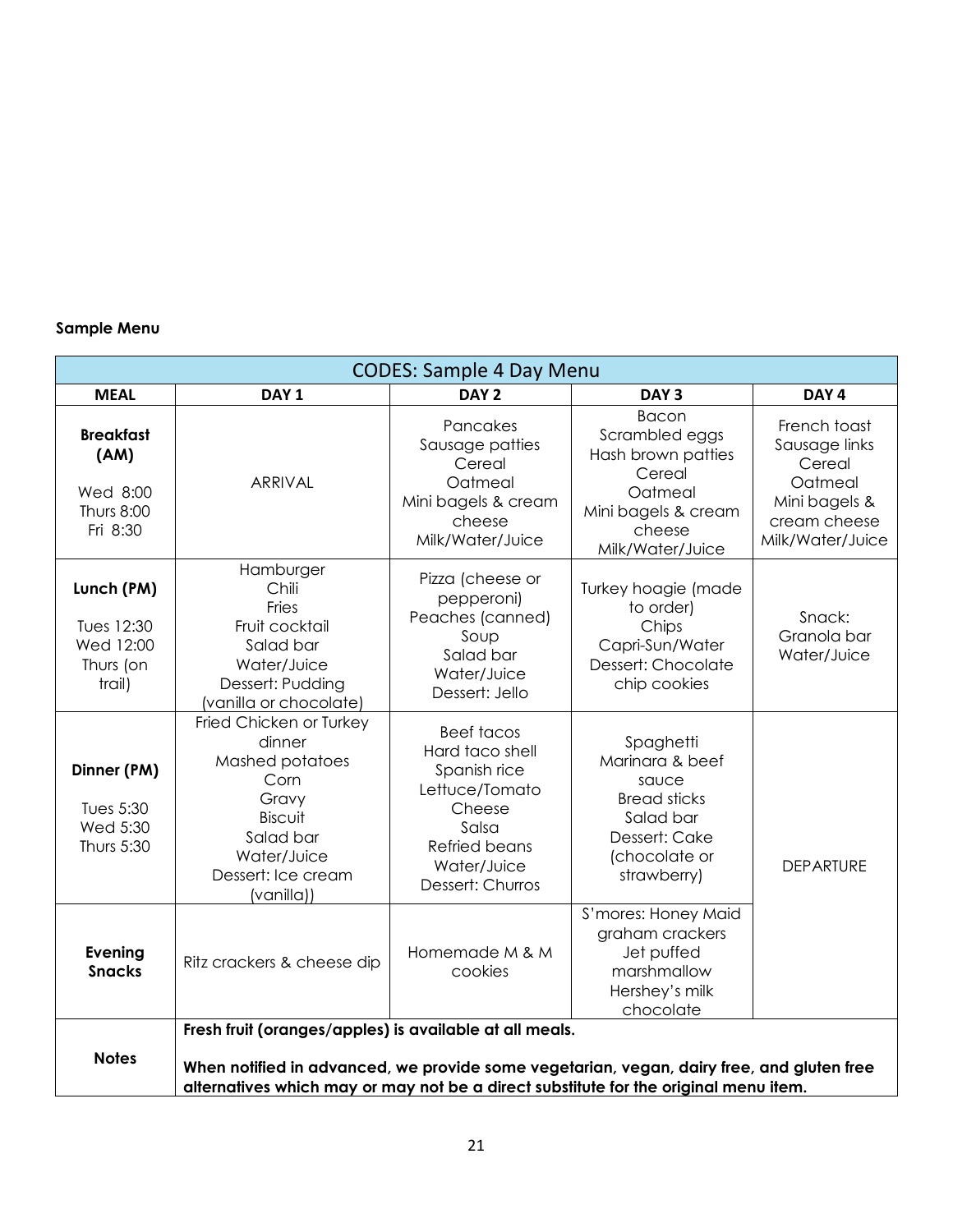#### **Sample Menu**

| <b>CODES: Sample 4 Day Menu</b>                                                                                                                                                                                                                              |                                                                                                                                                  |                                                                                                                                                      |                                                                                                                                |                                                                                                         |  |  |
|--------------------------------------------------------------------------------------------------------------------------------------------------------------------------------------------------------------------------------------------------------------|--------------------------------------------------------------------------------------------------------------------------------------------------|------------------------------------------------------------------------------------------------------------------------------------------------------|--------------------------------------------------------------------------------------------------------------------------------|---------------------------------------------------------------------------------------------------------|--|--|
| <b>MEAL</b>                                                                                                                                                                                                                                                  | DAY <sub>1</sub>                                                                                                                                 | DAY <sub>2</sub>                                                                                                                                     | DAY <sub>3</sub>                                                                                                               | DAY <sub>4</sub>                                                                                        |  |  |
| <b>Breakfast</b><br>(AM)<br>Wed 8:00<br><b>Thurs 8:00</b><br>Fri 8:30                                                                                                                                                                                        | <b>ARRIVAL</b>                                                                                                                                   | Pancakes<br>Sausage patties<br>Cereal<br>Oatmeal<br>Mini bagels & cream<br>cheese<br>Milk/Water/Juice                                                | <b>Bacon</b><br>Scrambled eggs<br>Hash brown patties<br>Cereal<br>Oatmeal<br>Mini bagels & cream<br>cheese<br>Milk/Water/Juice | French toast<br>Sausage links<br>Cereal<br>Oatmeal<br>Mini bagels &<br>cream cheese<br>Milk/Water/Juice |  |  |
| Lunch (PM)<br>Tues 12:30<br>Wed 12:00<br>Thurs (on<br>trail)                                                                                                                                                                                                 | Hamburger<br>Chili<br>Fries<br>Fruit cocktail<br>Salad bar<br>Water/Juice<br>Dessert: Pudding<br>(vanilla or chocolate)                          | Pizza (cheese or<br>pepperoni)<br>Peaches (canned)<br>Soup<br>Salad bar<br>Water/Juice<br>Dessert: Jello                                             | Turkey hoagie (made<br>to order)<br>Chips<br>Capri-Sun/Water<br>Dessert: Chocolate<br>chip cookies                             | Snack:<br>Granola bar<br>Water/Juice                                                                    |  |  |
| Dinner (PM)<br>Tues 5:30<br>Wed 5:30<br>Thurs 5:30                                                                                                                                                                                                           | Fried Chicken or Turkey<br>dinner<br>Mashed potatoes<br>Corn<br>Gravy<br>Biscuit<br>Salad bar<br>Water/Juice<br>Dessert: Ice cream<br>(vanilla)) | <b>Beef tacos</b><br>Hard taco shell<br>Spanish rice<br>Lettuce/Tomato<br>Cheese<br>Salsa<br><b>Refried beans</b><br>Water/Juice<br>Dessert: Churros | Spaghetti<br>Marinara & beef<br>sauce<br><b>Bread sticks</b><br>Salad bar<br>Dessert: Cake<br>(chocolate or<br>strawberry)     | <b>DEPARTURE</b>                                                                                        |  |  |
| <b>Evening</b><br><b>Snacks</b>                                                                                                                                                                                                                              | Ritz crackers & cheese dip                                                                                                                       | Homemade M & M<br>cookies                                                                                                                            | S'mores: Honey Maid<br>graham crackers<br>Jet puffed<br>marshmallow<br>Hershey's milk<br>chocolate                             |                                                                                                         |  |  |
| Fresh fruit (oranges/apples) is available at all meals.<br><b>Notes</b><br>When notified in advanced, we provide some vegetarian, vegan, dairy free, and gluten free<br>alternatives which may or may not be a direct substitute for the original menu item. |                                                                                                                                                  |                                                                                                                                                      |                                                                                                                                |                                                                                                         |  |  |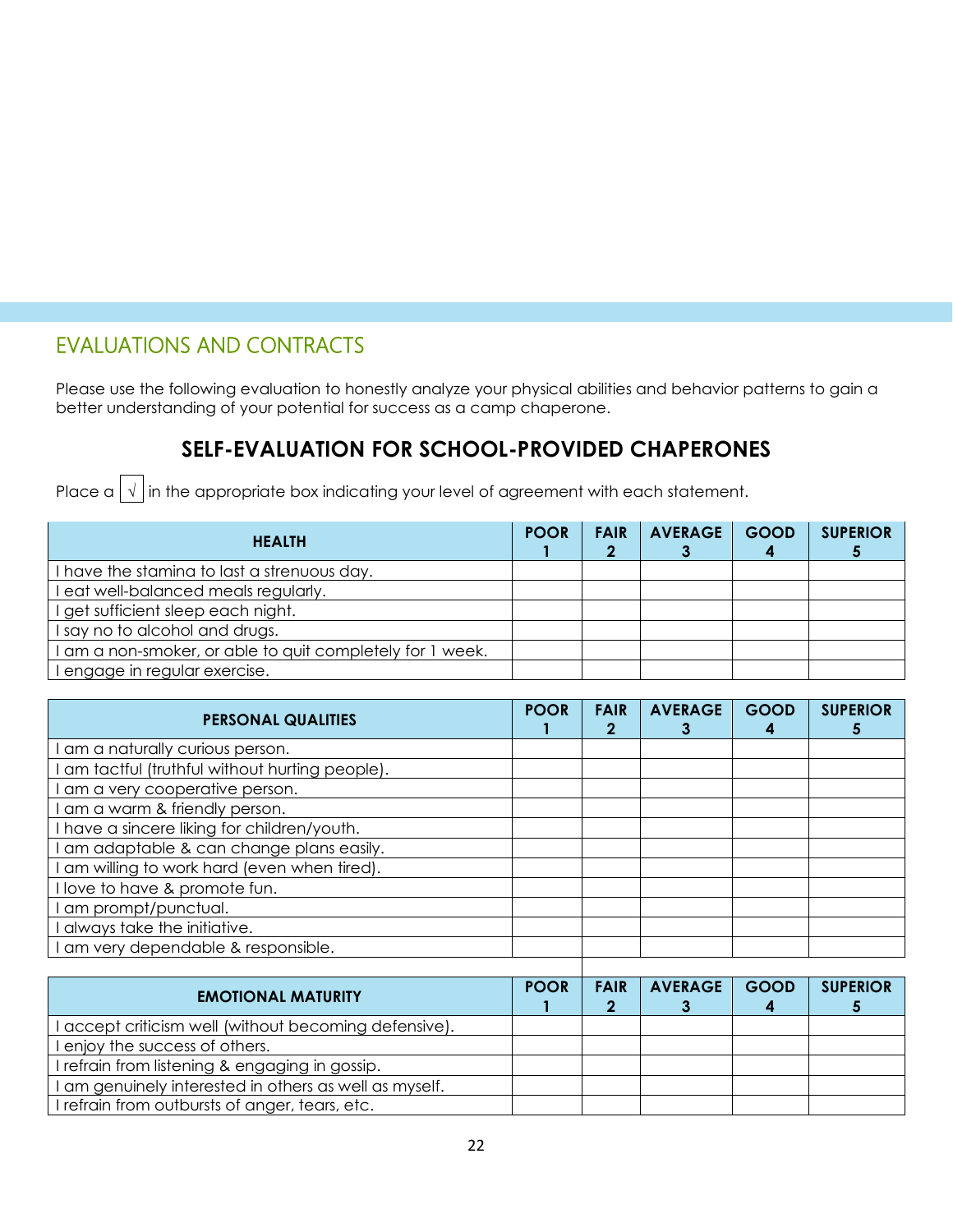## EVALUATIONS AND CONTRACTS

Please use the following evaluation to honestly analyze your physical abilities and behavior patterns to gain a better understanding of your potential for success as a camp chaperone.

## **SELF-EVALUATION FOR SCHOOL-PROVIDED CHAPERONES**

Place a  $\boxed{\sqrt}$  in the appropriate box indicating your level of agreement with each statement.

| <b>HEALTH</b>                                             | <b>POOR</b> | <b>FAIR</b> | <b>AVERAGE</b> | <b>GOOD</b> | <b>SUPERIOR</b> |
|-----------------------------------------------------------|-------------|-------------|----------------|-------------|-----------------|
| I have the staming to last a strenuous day.               |             |             |                |             |                 |
| eat well-balanced meals regularly.                        |             |             |                |             |                 |
| I get sufficient sleep each night.                        |             |             |                |             |                 |
| I say no to alcohol and drugs.                            |             |             |                |             |                 |
| I am a non-smoker, or able to quit completely for 1 week. |             |             |                |             |                 |
| I engage in regular exercise.                             |             |             |                |             |                 |

| <b>PERSONAL QUALITIES</b>                     | <b>POOR</b> | <b>FAIR</b><br>2 | <b>AVERAGE</b> | <b>GOOD</b> | <b>SUPERIOR</b> |
|-----------------------------------------------|-------------|------------------|----------------|-------------|-----------------|
| am a naturally curious person.                |             |                  |                |             |                 |
| am tactful (truthful without hurting people). |             |                  |                |             |                 |
| am a very cooperative person.                 |             |                  |                |             |                 |
| am a warm & friendly person.                  |             |                  |                |             |                 |
| have a sincere liking for children/youth.     |             |                  |                |             |                 |
| am adaptable & can change plans easily.       |             |                  |                |             |                 |
| am willing to work hard (even when tired).    |             |                  |                |             |                 |
| love to have & promote fun.                   |             |                  |                |             |                 |
| am prompt/punctual.                           |             |                  |                |             |                 |
| always take the initiative.                   |             |                  |                |             |                 |
| am very dependable & responsible.             |             |                  |                |             |                 |
|                                               |             |                  |                |             |                 |

| <b>EMOTIONAL MATURITY</b>                              | <b>POOR</b> | <b>FAIR</b> | <b>AVERAGE</b> | <b>GOOD</b> | <b>SUPERIOR</b> |
|--------------------------------------------------------|-------------|-------------|----------------|-------------|-----------------|
| accept criticism well (without becoming defensive).    |             |             |                |             |                 |
| enjoy the success of others.                           |             |             |                |             |                 |
| I refrain from listening & engaging in gossip.         |             |             |                |             |                 |
| I am genuinely interested in others as well as myself. |             |             |                |             |                 |
| I refrain from outbursts of anger, tears, etc.         |             |             |                |             |                 |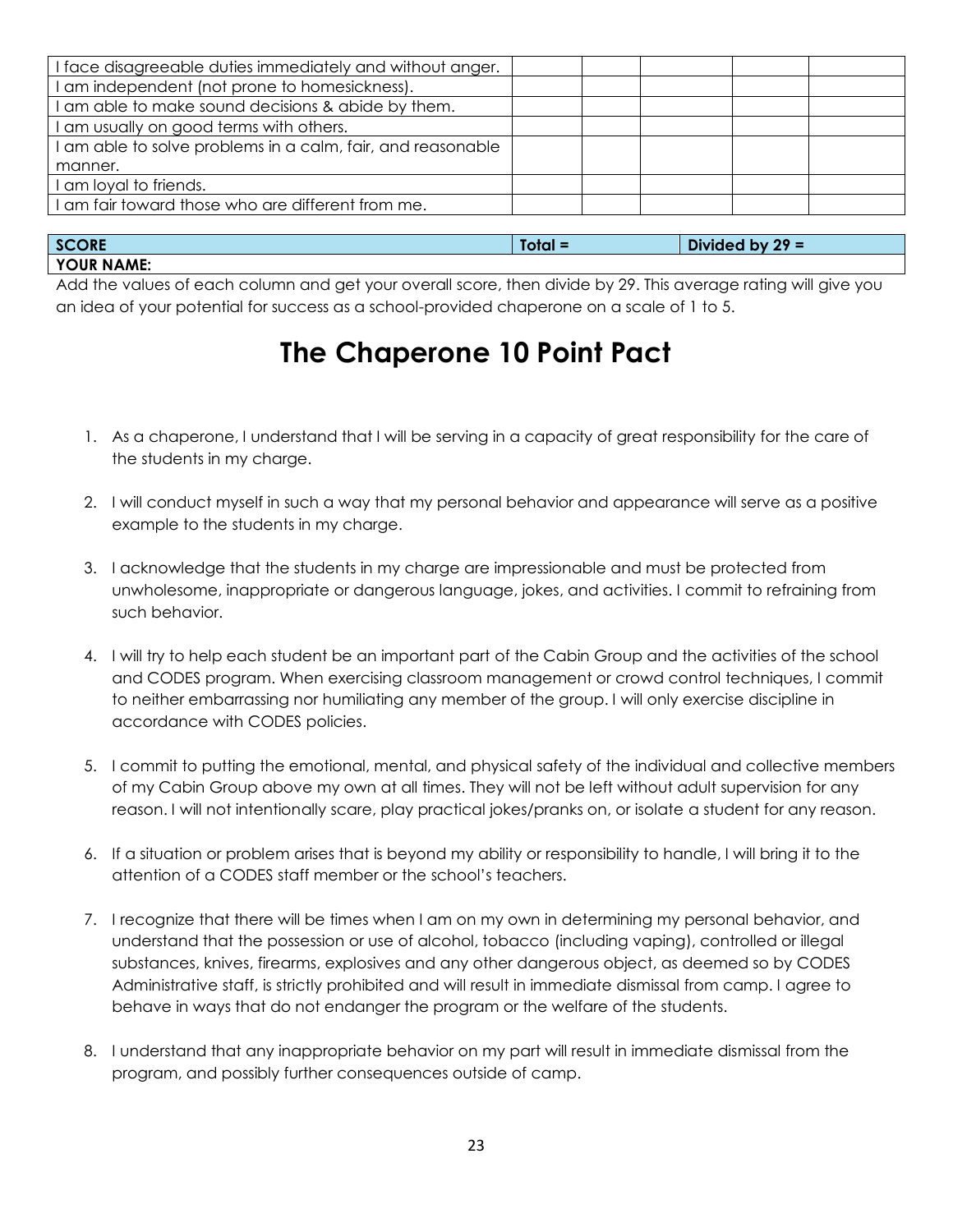| I face disagreeable duties immediately and without anger.   |  |  |
|-------------------------------------------------------------|--|--|
| I am independent (not prone to homesickness).               |  |  |
| I am able to make sound decisions & abide by them.          |  |  |
| I am usually on good terms with others.                     |  |  |
| I am able to solve problems in a calm, fair, and reasonable |  |  |
| manner.                                                     |  |  |
| I am loyal to friends.                                      |  |  |
| I am fair toward those who are different from me.           |  |  |
|                                                             |  |  |

| <b>SCORE</b> | $Total =$ | $29 =$<br><b>Divided</b><br><b>bv</b> |
|--------------|-----------|---------------------------------------|
| YOUR NAME:   |           |                                       |

Add the values of each column and get your overall score, then divide by 29. This average rating will give you an idea of your potential for success as a school-provided chaperone on a scale of 1 to 5.

## **The Chaperone 10 Point Pact**

- 1. As a chaperone, I understand that I will be serving in a capacity of great responsibility for the care of the students in my charge.
- 2. I will conduct myself in such a way that my personal behavior and appearance will serve as a positive example to the students in my charge.
- 3. I acknowledge that the students in my charge are impressionable and must be protected from unwholesome, inappropriate or dangerous language, jokes, and activities. I commit to refraining from such behavior.
- 4. I will try to help each student be an important part of the Cabin Group and the activities of the school and CODES program. When exercising classroom management or crowd control techniques, I commit to neither embarrassing nor humiliating any member of the group. I will only exercise discipline in accordance with CODES policies.
- 5. I commit to putting the emotional, mental, and physical safety of the individual and collective members of my Cabin Group above my own at all times. They will not be left without adult supervision for any reason. I will not intentionally scare, play practical jokes/pranks on, or isolate a student for any reason.
- 6. If a situation or problem arises that is beyond my ability or responsibility to handle, I will bring it to the attention of a CODES staff member or the school's teachers.
- 7. I recognize that there will be times when I am on my own in determining my personal behavior, and understand that the possession or use of alcohol, tobacco (including vaping), controlled or illegal substances, knives, firearms, explosives and any other dangerous object, as deemed so by CODES Administrative staff, is strictly prohibited and will result in immediate dismissal from camp. I agree to behave in ways that do not endanger the program or the welfare of the students.
- 8. I understand that any inappropriate behavior on my part will result in immediate dismissal from the program, and possibly further consequences outside of camp.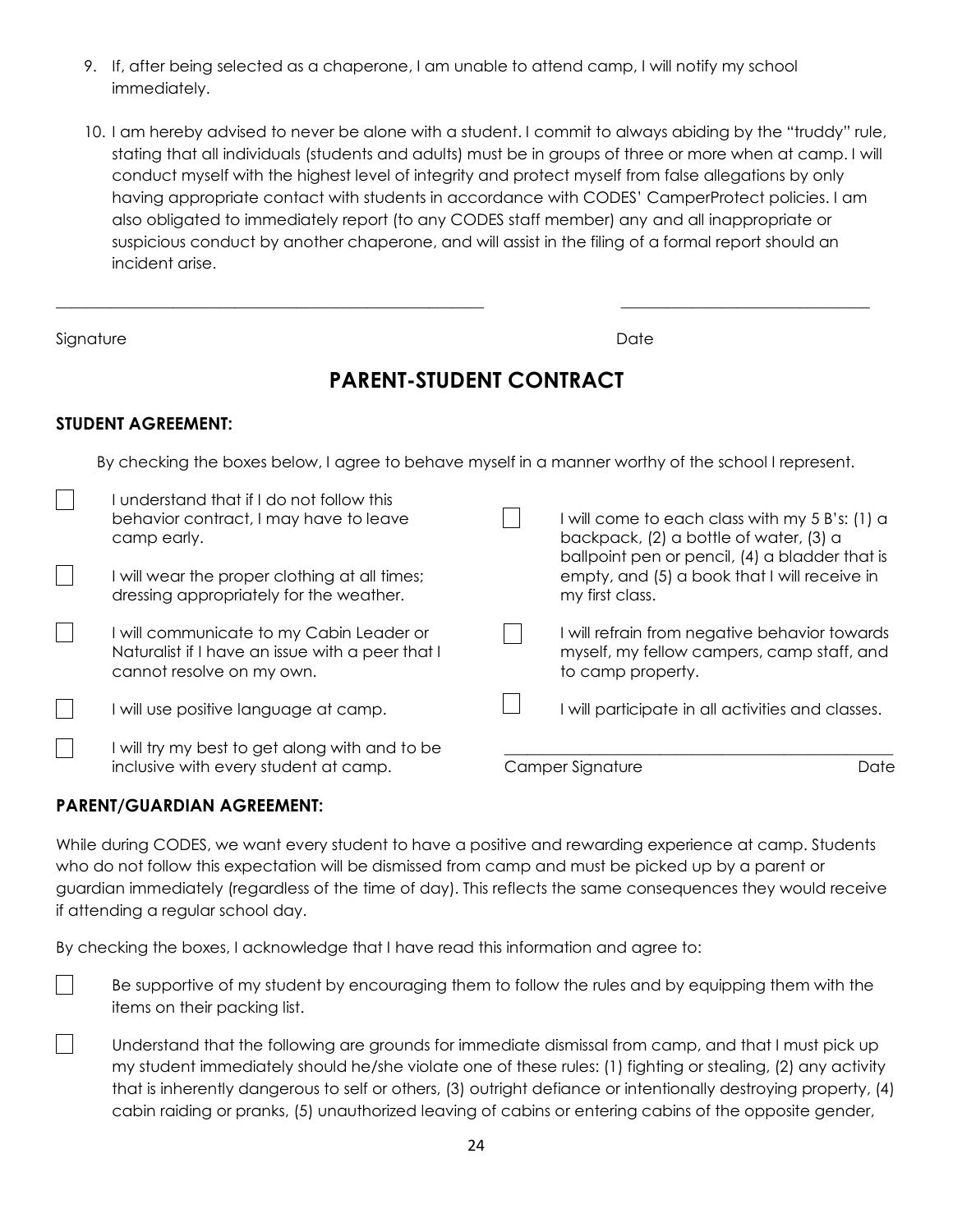- 9. If, after being selected as a chaperone, I am unable to attend camp, I will notify my school immediately.
- 10. I am hereby advised to never be alone with a student. I commit to always abiding by the "truddy" rule, stating that all individuals (students and adults) must be in groups of three or more when at camp. I will conduct myself with the highest level of integrity and protect myself from false allegations by only having appropriate contact with students in accordance with CODES' CamperProtect policies. I am also obligated to immediately report (to any CODES staff member) any and all inappropriate or suspicious conduct by another chaperone, and will assist in the filing of a formal report should an incident arise.

Signature Date Date of the Date of the Date of the Date of the Date of the Date of the Date of the Date of the Date of the Date of the Date of the Date of the Date of the Date of the Date of the Date of the Date of the Dat

 $\sqrt{2}$ 

 $\vert \ \ \vert$ 

### **PARENT-STUDENT CONTRACT**

\_\_\_\_\_\_\_\_\_\_\_\_\_\_\_\_\_\_\_\_\_\_\_\_\_\_\_\_\_\_\_\_\_\_\_\_\_\_\_\_\_\_\_\_\_\_\_\_\_\_\_\_\_\_\_ \_\_\_\_\_\_\_\_\_\_\_\_\_\_\_\_\_\_\_\_\_\_\_\_\_\_\_\_\_\_\_\_

#### **STUDENT AGREEMENT:**

By checking the boxes below, I agree to behave myself in a manner worthy of the school I represent.

| understand that if I do not follow this<br>behavior contract, I may have to leave<br>camp early.<br>I will wear the proper clothing at all times;<br>dressing appropriately for the weather. | I will come to each class with my $5 B's: (1) a$<br>backpack, (2) a bottle of water, (3) a<br>ballpoint pen or pencil, (4) a bladder that is<br>empty, and (5) a book that I will receive in<br>my first class. |      |
|----------------------------------------------------------------------------------------------------------------------------------------------------------------------------------------------|-----------------------------------------------------------------------------------------------------------------------------------------------------------------------------------------------------------------|------|
| I will communicate to my Cabin Leader or<br>Naturalist if I have an issue with a peer that I<br>cannot resolve on my own.                                                                    | I will refrain from negative behavior towards<br>myself, my fellow campers, camp staff, and<br>to camp property.                                                                                                |      |
| I will use positive language at camp.                                                                                                                                                        | I will participate in all activities and classes.                                                                                                                                                               |      |
| I will try my best to get along with and to be<br>inclusive with every student at camp.                                                                                                      | Camper Signature                                                                                                                                                                                                | Date |

#### **PARENT/GUARDIAN AGREEMENT:**

While during CODES, we want every student to have a positive and rewarding experience at camp. Students who do not follow this expectation will be dismissed from camp and must be picked up by a parent or guardian immediately (regardless of the time of day). This reflects the same consequences they would receive if attending a regular school day.

By checking the boxes, I acknowledge that I have read this information and agree to:

- $\vert \ \ \vert$ Be supportive of my student by encouraging them to follow the rules and by equipping them with the items on their packing list.
	- Understand that the following are grounds for immediate dismissal from camp, and that I must pick up my student immediately should he/she violate one of these rules: (1) fighting or stealing, (2) any activity that is inherently dangerous to self or others, (3) outright defiance or intentionally destroying property, (4) cabin raiding or pranks, (5) unauthorized leaving of cabins or entering cabins of the opposite gender,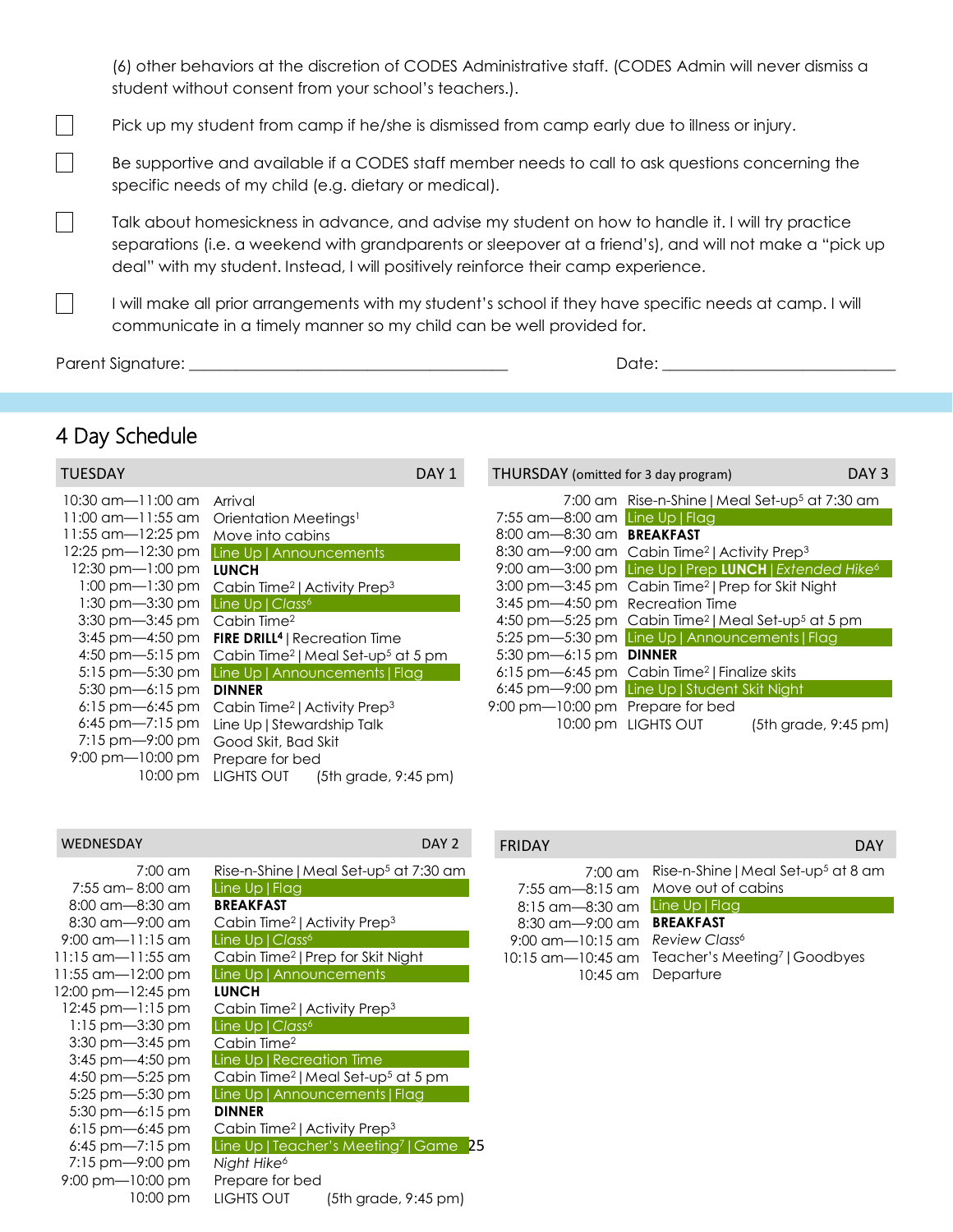(6) other behaviors at the discretion of CODES Administrative staff. (CODES Admin will never dismiss a student without consent from your school's teachers.).

Pick up my student from camp if he/she is dismissed from camp early due to illness or injury.

Be supportive and available if a CODES staff member needs to call to ask questions concerning the specific needs of my child (e.g. dietary or medical).

Talk about homesickness in advance, and advise my student on how to handle it. I will try practice separations (i.e. a weekend with grandparents or sleepover at a friend's), and will not make a "pick up deal" with my student. Instead, I will positively reinforce their camp experience.

I will make all prior arrangements with my student's school if they have specific needs at camp. I will communicate in a timely manner so my child can be well provided for.

Parent Signature: \_\_\_\_\_\_\_\_\_\_\_\_\_\_\_\_\_\_\_\_\_\_\_\_\_\_\_\_\_\_\_\_\_\_\_\_\_\_\_\_\_ Date: \_\_\_\_\_\_\_\_\_\_\_\_\_\_\_\_\_\_\_\_\_\_\_\_\_\_\_\_\_\_

 $\vert \ \ \vert$ 

 $\Box$ 

 $\Box$ 

 $\mathcal{L}_{\mathcal{A}}$ 

### 4 Day Schedule

| TUESDAY                                      | DAY 1                                                                      | THURSDAY (omitted for 3 day program)                                       |                                                            |                         | DAY <sub>3</sub> |
|----------------------------------------------|----------------------------------------------------------------------------|----------------------------------------------------------------------------|------------------------------------------------------------|-------------------------|------------------|
| 10:30 am—11:00 am                            | Arrival                                                                    |                                                                            | 7:00 am Rise-n-Shine   Meal Set-up <sup>5</sup> at 7:30 am |                         |                  |
|                                              | 11:00 am-11:55 am Orientation Meetings <sup>1</sup>                        | 7:55 $am$ $-8:00$ am Line Up   Flag                                        |                                                            |                         |                  |
| 11:55 am-12:25 pm Move into cabins           |                                                                            | 8:00 am-8:30 am BREAKFAST                                                  |                                                            |                         |                  |
|                                              | 12:25 pm-12:30 pm Line Up   Announcements                                  | 8:30 am-9:00 am Cabin Time <sup>2</sup>   Activity Prep <sup>3</sup>       |                                                            |                         |                  |
| $12:30 \text{ pm} - 1:00 \text{ pm}$         | <b>LUNCH</b>                                                               | 9:00 am-3:00 pm Line Up   Prep LUNCH   Extended Hike <sup>6</sup>          |                                                            |                         |                  |
|                                              | 1:00 pm-1:30 pm Cabin Time <sup>2</sup>   Activity Prep <sup>3</sup>       | 3:00 pm-3:45 pm Cabin Time <sup>2</sup>   Prep for Skit Night              |                                                            |                         |                  |
| 1:30 pm-3:30 pm Line Up   Class <sup>6</sup> |                                                                            | 3:45 pm-4:50 pm Recreation Time                                            |                                                            |                         |                  |
| $3:30 \text{ pm} - 3:45 \text{ pm}$          | Cabin Time <sup>2</sup>                                                    | 4:50 pm-5:25 pm Cabin Time <sup>2</sup>   Meal Set-up <sup>5</sup> at 5 pm |                                                            |                         |                  |
|                                              | 3:45 pm-4:50 pm FIRE DRILL <sup>4</sup>   Recreation Time                  | 5:25 pm-5:30 pm Line Up   Announcements   Flag                             |                                                            |                         |                  |
|                                              | 4:50 pm-5:15 pm Cabin Time <sup>2</sup>   Meal Set-up <sup>5</sup> at 5 pm | 5:30 pm-6:15 pm <b>DINNER</b>                                              |                                                            |                         |                  |
|                                              | 5:15 pm-5:30 pm Line Up   Announcements   Flag                             | 6:15 pm-6:45 pm Cabin Time <sup>2</sup>   Finalize skits                   |                                                            |                         |                  |
| $5:30 \text{ pm} - 6:15 \text{ pm}$          | <b>DINNER</b>                                                              | 6:45 pm-9:00 pm Line Up   Student Skit Night                               |                                                            |                         |                  |
|                                              | 6:15 pm-6:45 pm Cabin Time <sup>2</sup>   Activity Prep <sup>3</sup>       | 9:00 pm-10:00 pm Prepare for bed                                           |                                                            |                         |                  |
| 6:45 pm—7:15 pm                              | Line Up   Stewardship Talk                                                 |                                                                            | 10:00 pm LIGHTS OUT                                        | $(5th)$ grade, 9:45 pm) |                  |
| 7:15 pm-9:00 pm                              | Good Skit, Bad Skit                                                        |                                                                            |                                                            |                         |                  |
| $9:00 \text{ pm}$ $-10:00 \text{ pm}$        | Prepare for bed                                                            |                                                                            |                                                            |                         |                  |
|                                              | 10:00 pm LIGHTS OUT<br>(5th grade, 9:45 pm)                                |                                                                            |                                                            |                         |                  |

#### WEDNESDAY DAY 2

| Rise-n-Shine   Meal Set-up <sup>5</sup> at 7:30 am         |
|------------------------------------------------------------|
| Line Up   Flag                                             |
| <b>BREAKFAST</b>                                           |
| Cabin Time <sup>2</sup>   Activity Prep <sup>3</sup>       |
| Line Up   Class <sup>6</sup>                               |
| Cabin Time <sup>2</sup>   Prep for Skit Night              |
| Line Up   Announcements                                    |
| <b>LUNCH</b>                                               |
| Cabin Time <sup>2</sup>   Activity Prep <sup>3</sup>       |
| Line Up   Class <sup>6</sup>                               |
| Cabin Time <sup>2</sup>                                    |
| Line Up   Recreation Time                                  |
| Cabin Time <sup>2</sup>   Meal Set-up <sup>5</sup> at 5 pm |
| Line Up   Announcements   Flag                             |
| <b>DINNER</b>                                              |
| Cabin Time <sup>2</sup>   Activity Prep <sup>3</sup>       |
| Line Up   Teacher's Meeting <sup>7</sup>   Game 25         |
| Night Hike <sup>6</sup>                                    |
| Prepare for bed                                            |
| LIGHTS OUT<br>(5th grade, 9:45 pm)                         |
|                                                            |

|                                            | 7:00 am Rise-n-Shine   Meal Set-up <sup>5</sup> at 8 am |
|--------------------------------------------|---------------------------------------------------------|
|                                            | 7:55 am—8:15 am Move out of cabins                      |
| 8:15 am-8:30 am Line Up   Flag             |                                                         |
| 8:30 am-9:00 am <b>BREAKFAST</b>           |                                                         |
| 9:00 am-10:15 am Review Class <sup>6</sup> |                                                         |
|                                            | 10:15 am-10:45 am Teacher's Meeting7   Goodbyes         |
|                                            | 10:45 am Departure                                      |
|                                            |                                                         |

FRIDAY DAY AND THE CONTROL CONTROL CONTROL CONTROL CONTROL CONTROL CONTROL CONTROL CONTROL CONTROL CONTROL CONTROL CONTROL CONTROL CONTROL CONTROL CONTROL CONTROL CONTROL CONTROL CONTROL CONTROL CONTROL CONTROL CONTROL CON